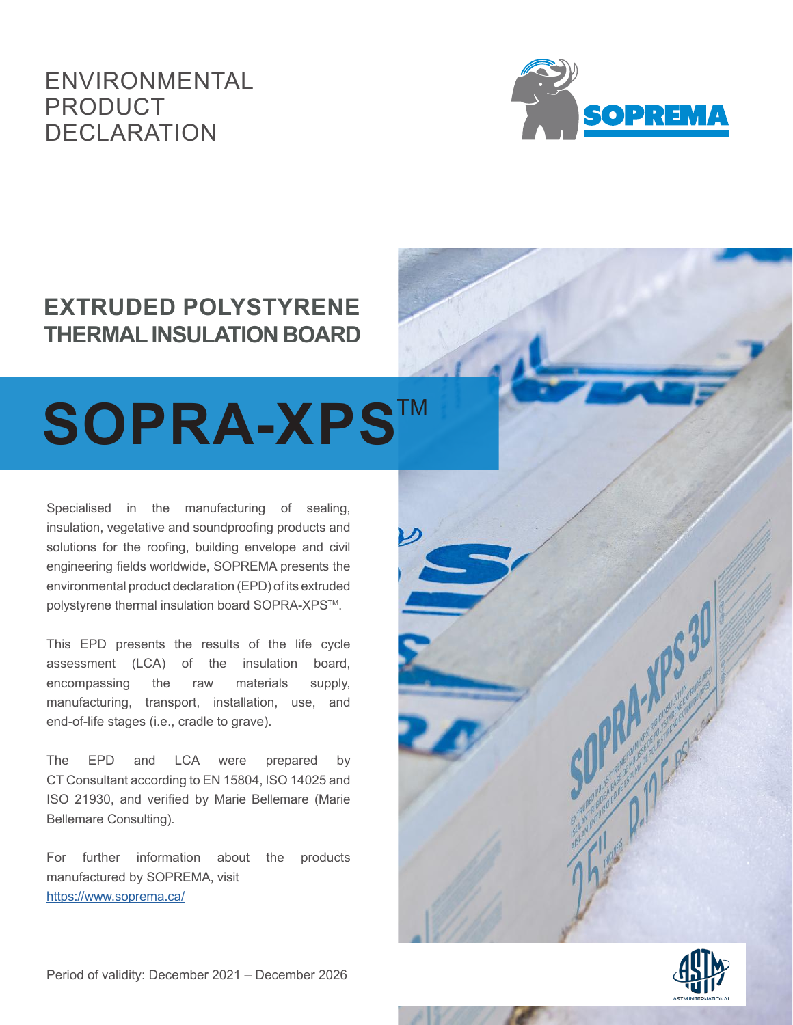# ENVIRONMENTAL PRODUCT DECLARATION



# **EXTRUDED POLYSTYRENE THERMAL INSULATION BOARD**

# SOPRA-XPS™

Specialised in the manufacturing of sealing, insulation, vegetative and soundproofing products and solutions for the roofing, building envelope and civil engineering fields worldwide, SOPREMA presents the environmental product declaration (EPD) of its extruded polystyrene thermal insulation board SOPRA-XPS™.

This EPD presents the results of the life cycle assessment (LCA) of the insulation board, encompassing the raw materials supply, manufacturing, transport, installation, use, and end-of-life stages (i.e., cradle to grave).

The EPD and LCA were prepared by CT Consultant according to EN 15804, ISO 14025 and ISO 21930, and verified by Marie Bellemare (Marie Bellemare Consulting).

For further information about the products manufactured by SOPREMA, visit <https://www.soprema.ca/>



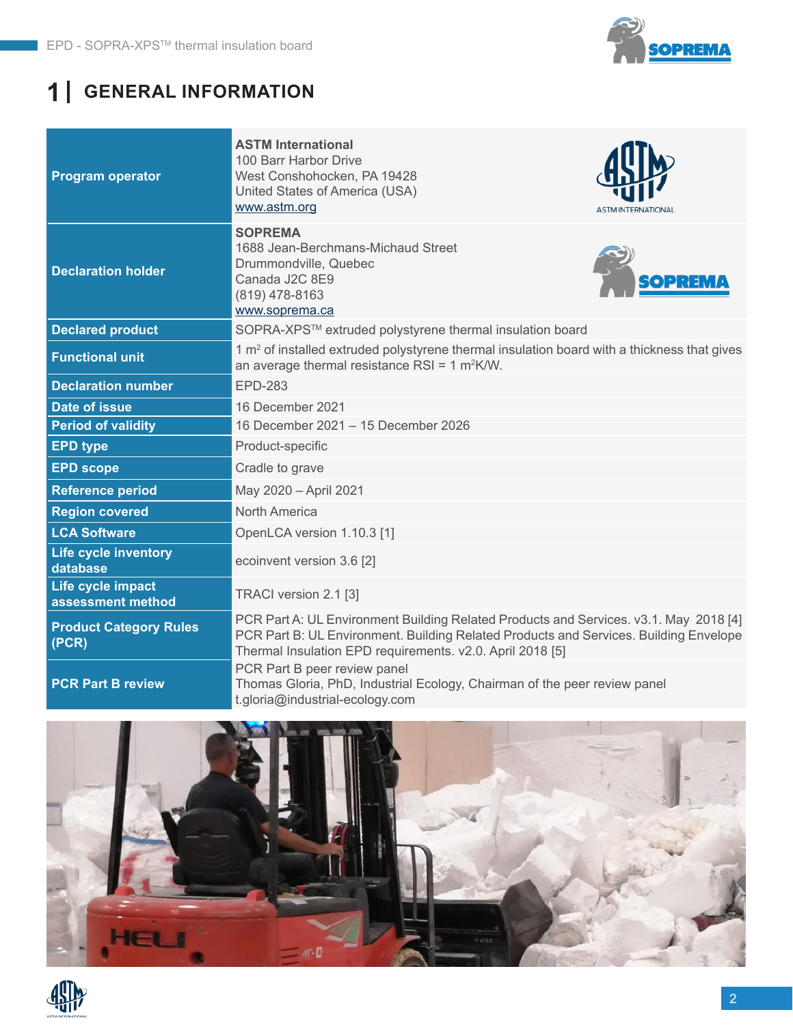

# **1 GENERAL INFORMATION**

| <b>Program operator</b>                 | <b>ASTM International</b><br>100 Barr Harbor Drive<br>West Conshohocken, PA 19428<br>United States of America (USA)<br>www.astm.org<br>ASTM INTERNATIONAL                                                                                   |  |  |  |  |  |
|-----------------------------------------|---------------------------------------------------------------------------------------------------------------------------------------------------------------------------------------------------------------------------------------------|--|--|--|--|--|
| <b>Declaration holder</b>               | <b>SOPREMA</b><br>1688 Jean-Berchmans-Michaud Street<br>Drummondville, Quebec<br>Canada J2C 8E9<br>(819) 478-8163<br>www.soprema.ca                                                                                                         |  |  |  |  |  |
| <b>Declared product</b>                 | SOPRA-XPS™ extruded polystyrene thermal insulation board                                                                                                                                                                                    |  |  |  |  |  |
| <b>Functional unit</b>                  | $1 \text{ m}^2$ of installed extruded polystyrene thermal insulation board with a thickness that gives<br>an average thermal resistance RSI = $1 \text{ m}^2$ K/W.                                                                          |  |  |  |  |  |
| <b>Declaration number</b>               | <b>EPD-283</b>                                                                                                                                                                                                                              |  |  |  |  |  |
| <b>Date of issue</b>                    | 16 December 2021                                                                                                                                                                                                                            |  |  |  |  |  |
| <b>Period of validity</b>               | 16 December 2021 - 15 December 2026                                                                                                                                                                                                         |  |  |  |  |  |
| <b>EPD type</b>                         | Product-specific                                                                                                                                                                                                                            |  |  |  |  |  |
| <b>EPD scope</b>                        | Cradle to grave                                                                                                                                                                                                                             |  |  |  |  |  |
| <b>Reference period</b>                 | May 2020 - April 2021                                                                                                                                                                                                                       |  |  |  |  |  |
| <b>Region covered</b>                   | <b>North America</b>                                                                                                                                                                                                                        |  |  |  |  |  |
| <b>LCA Software</b>                     | OpenLCA version 1.10.3 [1]                                                                                                                                                                                                                  |  |  |  |  |  |
| <b>Life cycle inventory</b><br>database | ecoinvent version 3.6 [2]                                                                                                                                                                                                                   |  |  |  |  |  |
| Life cycle impact<br>assessment method  | TRACI version 2.1 [3]                                                                                                                                                                                                                       |  |  |  |  |  |
| <b>Product Category Rules</b><br>(PCR)  | PCR Part A: UL Environment Building Related Products and Services. v3.1. May 2018 [4]<br>PCR Part B: UL Environment. Building Related Products and Services. Building Envelope<br>Thermal Insulation EPD requirements. v2.0. April 2018 [5] |  |  |  |  |  |
| <b>PCR Part B review</b>                | PCR Part B peer review panel<br>Thomas Gloria, PhD, Industrial Ecology, Chairman of the peer review panel<br>t.gloria@industrial-ecology.com                                                                                                |  |  |  |  |  |



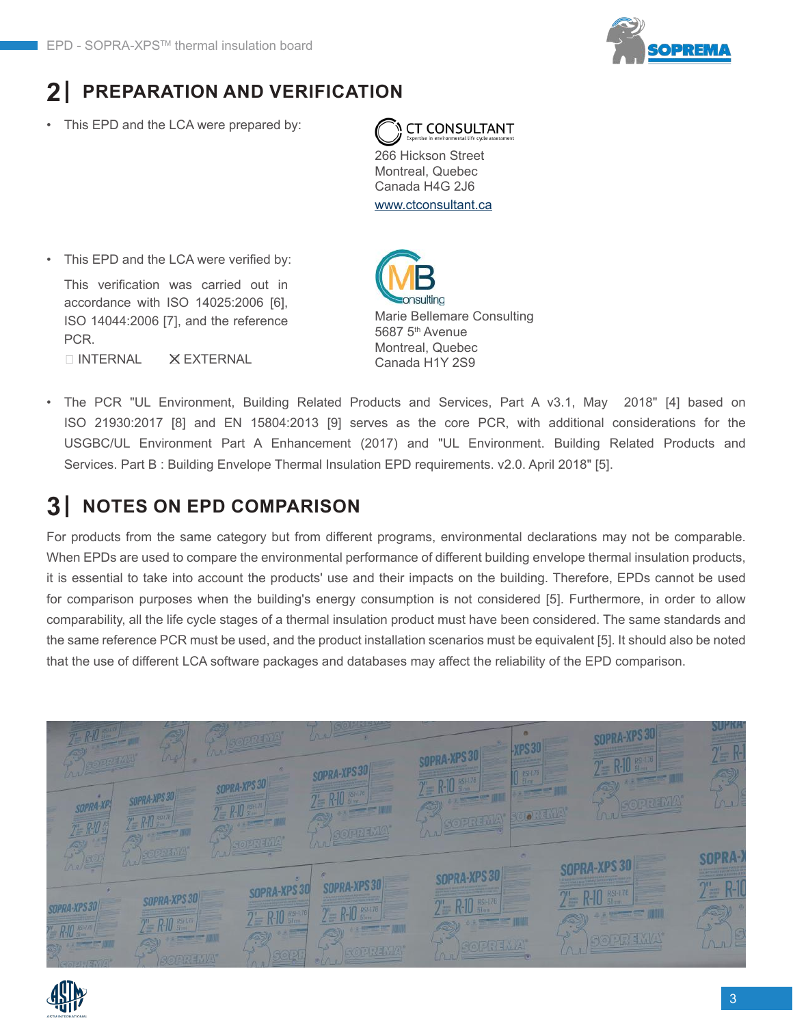

# **2 PREPARATION AND VERIFICATION**

This EPD and the LCA were prepared by:



266 Hickson Street Montreal, Quebec Canada H4G 2J6 [www.ctconsultant.ca](http://www.ctconsultant.ca)

This EPD and the LCA were verified by: This verification was carried out in

□ INTERNAL X EXTERNAL accordance with ISO 14025:2006 [6], ISO 14044:2006 [7], and the reference PCR.

Marie Bellemare Consulting 5687 5<sup>th</sup> Avenue Montreal, Quebec Canada H1Y 2S9

• The PCR "UL Environment, Building Related Products and Services, Part A v3.1, May 2018" [4] based on ISO 21930:2017 [8] and EN 15804:2013 [9] serves as the core PCR, with additional considerations for the USGBC/UL Environment Part A Enhancement (2017) and "UL Environment. Building Related Products and Services. Part B : Building Envelope Thermal Insulation EPD requirements. v2.0. April 2018" [5].

#### **3 NOTES ON EPD COMPARISON**

For products from the same category but from different programs, environmental declarations may not be comparable. When EPDs are used to compare the environmental performance of different building envelope thermal insulation products, it is essential to take into account the products' use and their impacts on the building. Therefore, EPDs cannot be used for comparison purposes when the building's energy consumption is not considered [5]. Furthermore, in order to allow comparability, all the life cycle stages of a thermal insulation product must have been considered. The same standards and the same reference PCR must be used, and the product installation scenarios must be equivalent [5]. It should also be noted that the use of different LCA software packages and databases may affect the reliability of the EPD comparison.



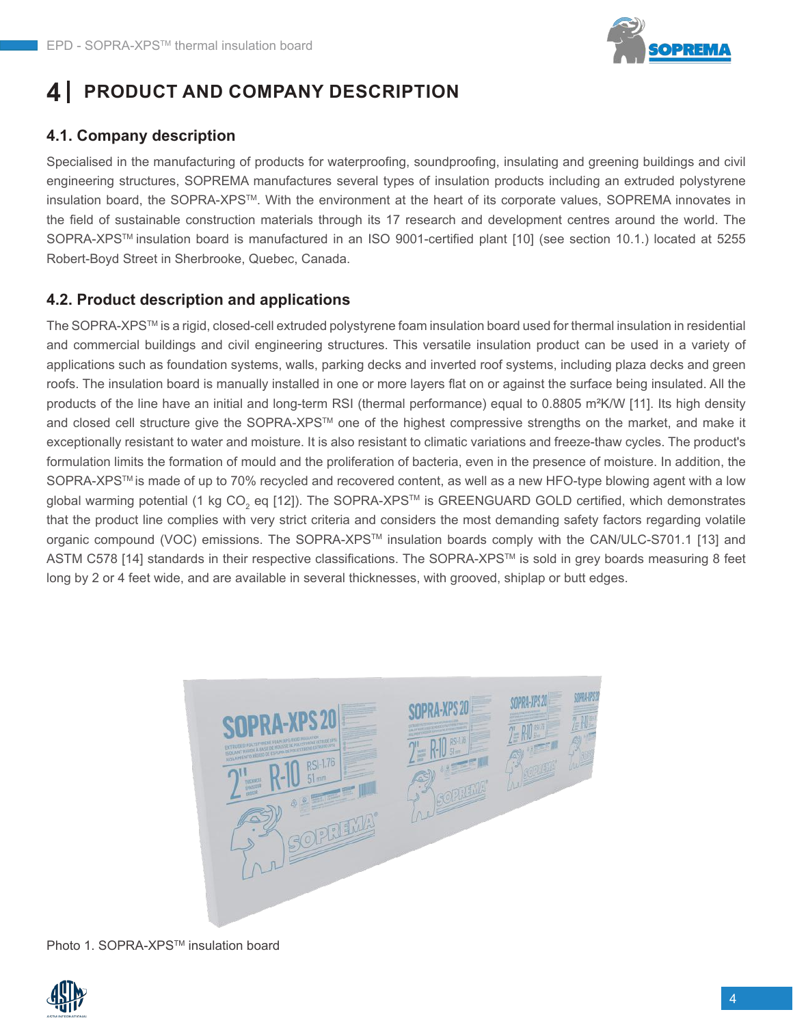

#### **PRODUCT AND COMPANY DESCRIPTION 4**

## **4.1. Company description**

Specialised in the manufacturing of products for waterproofing, soundproofing, insulating and greening buildings and civil engineering structures, SOPREMA manufactures several types of insulation products including an extruded polystyrene insulation board, the SOPRA-XPSTM. With the environment at the heart of its corporate values, SOPREMA innovates in the field of sustainable construction materials through its 17 research and development centres around the world. The SOPRA-XPS™ insulation board is manufactured in an ISO 9001-certified plant [10] (see section 10.1.) located at 5255 Robert-Boyd Street in Sherbrooke, Quebec, Canada.

#### **4.2. Product description and applications**

The SOPRA-XPS™ is a rigid, closed-cell extruded polystyrene foam insulation board used for thermal insulation in residential and commercial buildings and civil engineering structures. This versatile insulation product can be used in a variety of applications such as foundation systems, walls, parking decks and inverted roof systems, including plaza decks and green roofs. The insulation board is manually installed in one or more layers flat on or against the surface being insulated. All the products of the line have an initial and long-term RSI (thermal performance) equal to 0.8805 m²K/W [11]. Its high density and closed cell structure give the SOPRA-XPS™ one of the highest compressive strengths on the market, and make it exceptionally resistant to water and moisture. It is also resistant to climatic variations and freeze-thaw cycles. The product's formulation limits the formation of mould and the proliferation of bacteria, even in the presence of moisture. In addition, the SOPRA-XPS™ is made of up to 70% recycled and recovered content, as well as a new HFO-type blowing agent with a low global warming potential (1 kg CO<sub>2</sub> eq [12]). The SOPRA-XPS™ is GREENGUARD GOLD certified, which demonstrates that the product line complies with very strict criteria and considers the most demanding safety factors regarding volatile organic compound (VOC) emissions. The SOPRA-XPSTM insulation boards comply with the CAN/ULC-S701.1 [13] and ASTM C578 [14] standards in their respective classifications. The SOPRA-XPSTM is sold in grey boards measuring 8 feet long by 2 or 4 feet wide, and are available in several thicknesses, with grooved, shiplap or butt edges.



Photo 1. SOPRA-XPS™ insulation board

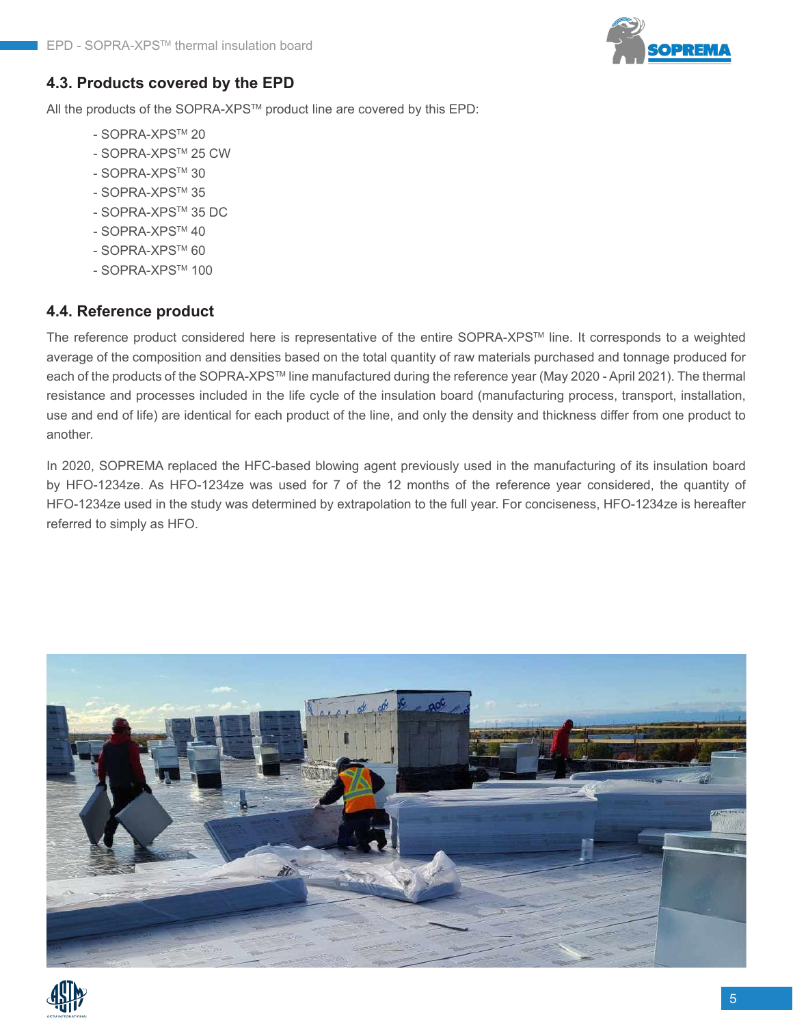

#### **4.3. Products covered by the EPD**

All the products of the SOPRA-XPS™ product line are covered by this EPD:

- SOPRA-XPSTM 20
- SOPRA-XPSTM 25 CW
- SOPRA-XPSTM 30
- SOPRA-XPSTM 35
- SOPRA-XPSTM 35 DC
- SOPRA-XPS™ 40
- SOPRA-XPS™ 60
- SOPRA-XPSTM 100

#### **4.4. Reference product**

The reference product considered here is representative of the entire SOPRA-XPSTM line. It corresponds to a weighted average of the composition and densities based on the total quantity of raw materials purchased and tonnage produced for each of the products of the SOPRA-XPS™ line manufactured during the reference year (May 2020 - April 2021). The thermal resistance and processes included in the life cycle of the insulation board (manufacturing process, transport, installation, use and end of life) are identical for each product of the line, and only the density and thickness differ from one product to another.

In 2020, SOPREMA replaced the HFC-based blowing agent previously used in the manufacturing of its insulation board by HFO-1234ze. As HFO-1234ze was used for 7 of the 12 months of the reference year considered, the quantity of HFO-1234ze used in the study was determined by extrapolation to the full year. For conciseness, HFO-1234ze is hereafter referred to simply as HFO.



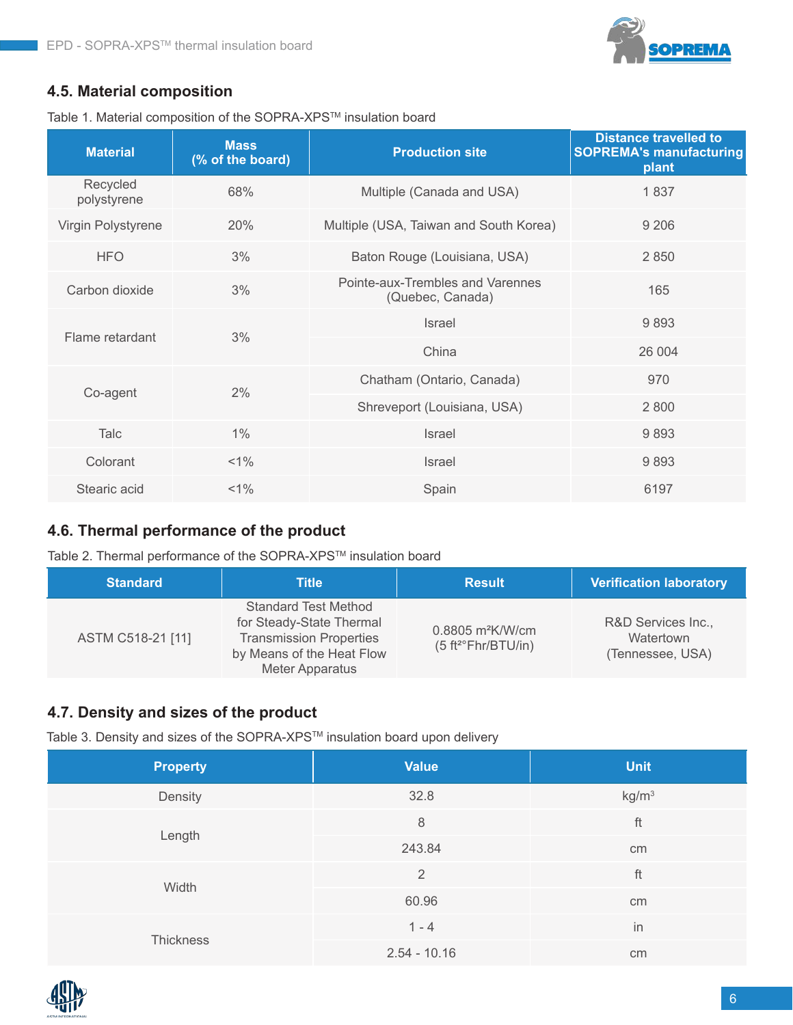

#### **4.5. Material composition**

Table 1. Material composition of the SOPRA-XPSTM insulation board

| <b>Material</b>         | <b>Mass</b><br>(% of the board) | <b>Production site</b>                               | <b>Distance travelled to</b><br><b>SOPREMA's manufacturing</b><br>plant |
|-------------------------|---------------------------------|------------------------------------------------------|-------------------------------------------------------------------------|
| Recycled<br>polystyrene | 68%                             | Multiple (Canada and USA)                            | 1837                                                                    |
| Virgin Polystyrene      | 20%                             | Multiple (USA, Taiwan and South Korea)               | 9 2 0 6                                                                 |
| <b>HFO</b>              | 3%                              | Baton Rouge (Louisiana, USA)                         | 2 8 5 0                                                                 |
| Carbon dioxide          | 3%                              | Pointe-aux-Trembles and Varennes<br>(Quebec, Canada) | 165                                                                     |
| Flame retardant         | 3%                              | <b>Israel</b>                                        | 9893                                                                    |
|                         |                                 | China                                                | 26 004                                                                  |
| Co-agent                | 2%                              | Chatham (Ontario, Canada)                            | 970                                                                     |
|                         |                                 | Shreveport (Louisiana, USA)                          | 2 8 0 0                                                                 |
| Talc                    | 1%                              | Israel                                               | 9893                                                                    |
| Colorant                | $< 1\%$                         | <b>Israel</b>                                        | 9893                                                                    |
| Stearic acid            | $< 1\%$                         | Spain                                                | 6197                                                                    |

## **4.6. Thermal performance of the product**

Table 2. Thermal performance of the SOPRA-XPS™ insulation board

| <b>Standard</b>   | Title                                                                                                                                     | <b>Result</b>                                                         | <b>Verification laboratory</b>                      |
|-------------------|-------------------------------------------------------------------------------------------------------------------------------------------|-----------------------------------------------------------------------|-----------------------------------------------------|
| ASTM C518-21 [11] | <b>Standard Test Method</b><br>for Steady-State Thermal<br><b>Transmission Properties</b><br>by Means of the Heat Flow<br>Meter Apparatus | $0.8805 \text{ m}^2$ K/W/cm<br>(5 ft <sup>2</sup> <i>Fhr/BTU/in</i> ) | R&D Services Inc.,<br>Watertown<br>(Tennessee, USA) |

#### **4.7. Density and sizes of the product**

Table 3. Density and sizes of the SOPRA-XPS™ insulation board upon delivery

| <b>Property</b>  | <b>Value</b>   | <b>Unit</b>       |
|------------------|----------------|-------------------|
| Density          | 32.8           | kg/m <sup>3</sup> |
|                  | $\,8\,$        | ft                |
| Length           | 243.84         | cm                |
|                  | 2              | ft                |
| Width            | 60.96          | cm                |
|                  | $1 - 4$        | in                |
| <b>Thickness</b> | $2.54 - 10.16$ | cm                |

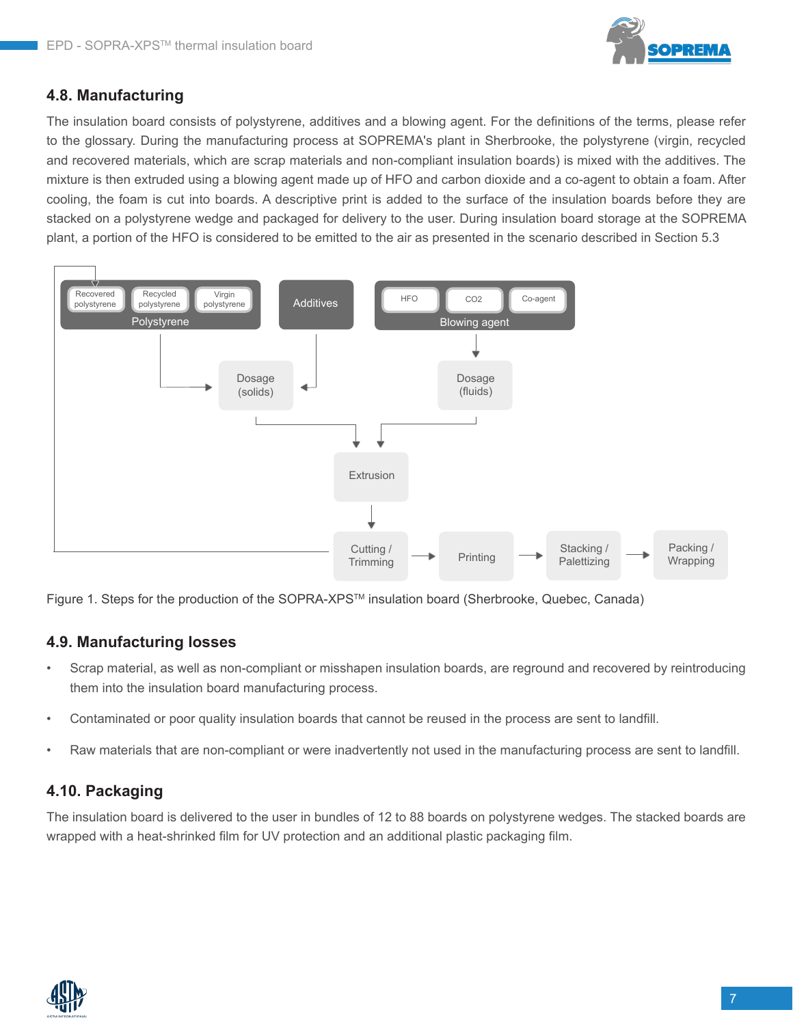

#### **4.8. Manufacturing**

The insulation board consists of polystyrene, additives and a blowing agent. For the definitions of the terms, please refer to the glossary. During the manufacturing process at SOPREMA's plant in Sherbrooke, the polystyrene (virgin, recycled and recovered materials, which are scrap materials and non-compliant insulation boards) is mixed with the additives. The mixture is then extruded using a blowing agent made up of HFO and carbon dioxide and a co-agent to obtain a foam. After cooling, the foam is cut into boards. A descriptive print is added to the surface of the insulation boards before they are stacked on a polystyrene wedge and packaged for delivery to the user. During insulation board storage at the SOPREMA plant, a portion of the HFO is considered to be emitted to the air as presented in the scenario described in Section 5.3



Figure 1. Steps for the production of the SOPRA-XPS™ insulation board (Sherbrooke, Quebec, Canada)

#### **4.9. Manufacturing losses**

- Scrap material, as well as non-compliant or misshapen insulation boards, are reground and recovered by reintroducing them into the insulation board manufacturing process.
- Contaminated or poor quality insulation boards that cannot be reused in the process are sent to landfill.
- Raw materials that are non-compliant or were inadvertently not used in the manufacturing process are sent to landfill.

#### **4.10. Packaging**

The insulation board is delivered to the user in bundles of 12 to 88 boards on polystyrene wedges. The stacked boards are wrapped with a heat-shrinked film for UV protection and an additional plastic packaging film.

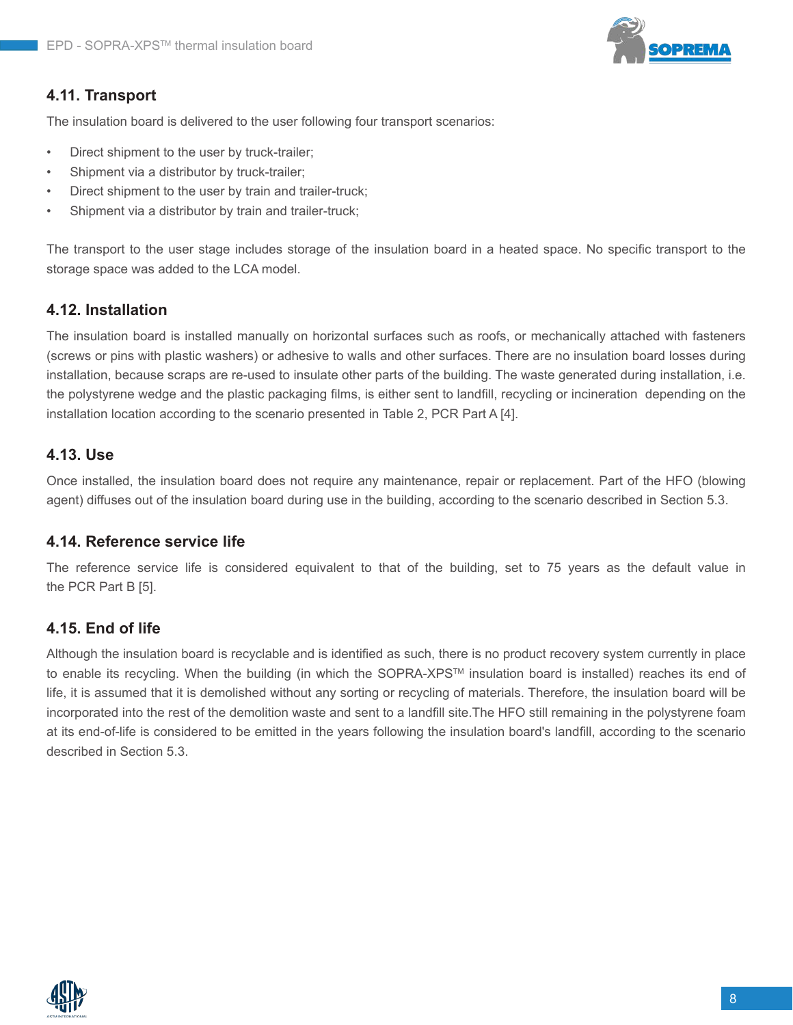

#### **4.11. Transport**

The insulation board is delivered to the user following four transport scenarios:

- Direct shipment to the user by truck-trailer;
- Shipment via a distributor by truck-trailer;
- Direct shipment to the user by train and trailer-truck;
- Shipment via a distributor by train and trailer-truck;

The transport to the user stage includes storage of the insulation board in a heated space. No specific transport to the storage space was added to the LCA model.

#### **4.12. Installation**

The insulation board is installed manually on horizontal surfaces such as roofs, or mechanically attached with fasteners (screws or pins with plastic washers) or adhesive to walls and other surfaces. There are no insulation board losses during installation, because scraps are re-used to insulate other parts of the building. The waste generated during installation, i.e. the polystyrene wedge and the plastic packaging films, is either sent to landfill, recycling or incineration depending on the installation location according to the scenario presented in Table 2, PCR Part A [4].

#### **4.13. Use**

Once installed, the insulation board does not require any maintenance, repair or replacement. Part of the HFO (blowing agent) diffuses out of the insulation board during use in the building, according to the scenario described in Section 5.3.

#### **4.14. Reference service life**

The reference service life is considered equivalent to that of the building, set to 75 years as the default value in the PCR Part B [5].

#### **4.15. End of life**

Although the insulation board is recyclable and is identified as such, there is no product recovery system currently in place to enable its recycling. When the building (in which the SOPRA-XPS™ insulation board is installed) reaches its end of life, it is assumed that it is demolished without any sorting or recycling of materials. Therefore, the insulation board will be incorporated into the rest of the demolition waste and sent to a landfill site.The HFO still remaining in the polystyrene foam at its end-of-life is considered to be emitted in the years following the insulation board's landfill, according to the scenario described in Section 5.3.

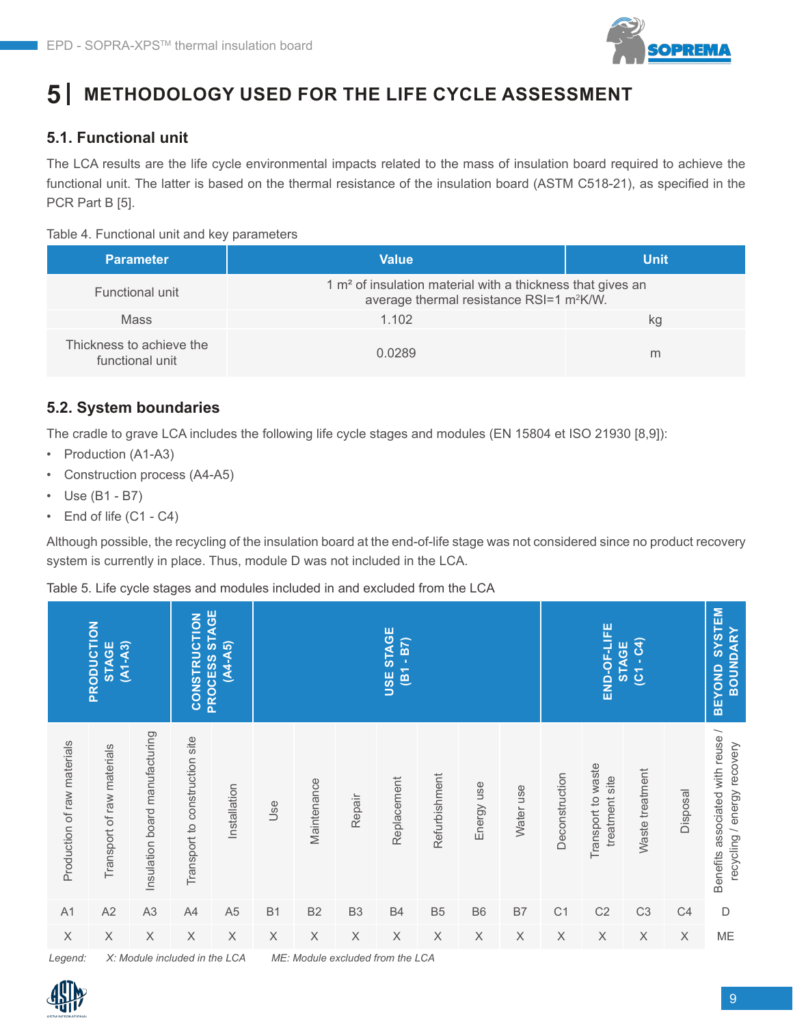

#### **METHODOLOGY USED FOR THE LIFE CYCLE ASSESSMENT 5**

## **5.1. Functional unit**

The LCA results are the life cycle environmental impacts related to the mass of insulation board required to achieve the functional unit. The latter is based on the thermal resistance of the insulation board (ASTM C518-21), as specified in the PCR Part B [5].

#### Table 4. Functional unit and key parameters

| <b>Parameter</b>                            | <b>Value</b>                                                                                                         | <b>Unit</b> |
|---------------------------------------------|----------------------------------------------------------------------------------------------------------------------|-------------|
| Functional unit                             | 1 $m2$ of insulation material with a thickness that gives an<br>average thermal resistance RSI=1 m <sup>2</sup> K/W. |             |
| Mass                                        | 1.102                                                                                                                | kq          |
| Thickness to achieve the<br>functional unit | 0.0289                                                                                                               | m           |

## **5.2. System boundaries**

The cradle to grave LCA includes the following life cycle stages and modules (EN 15804 et ISO 21930 [8,9]):

- Production (A1-A3)
- Construction process (A4-A5)
- Use (B1 B7)
- End of life (C1 C4)

Although possible, the recycling of the insulation board at the end-of-life stage was not considered since no product recovery system is currently in place. Thus, module D was not included in the LCA.

Table 5. Life cycle stages and modules included in and excluded from the LCA

|                             | PRODUCTION<br>$(A1 - A3)$<br><b>STAGE</b> |                                | PROCESS STAGE<br><b>CONSTRUCTION</b> | $(A4 - A5)$               |             |                                  |                | <b>USE STAGE</b><br>$(B1 - B7)$ |                |             |             |                | END-OF-LIFE<br><b>STAGE</b>          | $(C1 - C4)$     |             | <b>SYSTEM</b><br><b>BOUNDARY</b><br><b>BEYOND</b>               |
|-----------------------------|-------------------------------------------|--------------------------------|--------------------------------------|---------------------------|-------------|----------------------------------|----------------|---------------------------------|----------------|-------------|-------------|----------------|--------------------------------------|-----------------|-------------|-----------------------------------------------------------------|
| Production of raw materials | Transport of raw materials                | Insulation board manufacturing | Transport to construction site       | Installation              | Jse         | Maintenance                      | Repair         | Replacement                     | Refurbishment  | Energy use  | Water use   | Deconstruction | Transport to waste<br>treatment site | Waste treatment | Disposal    | Benefits associated with reuse /<br>recycling / energy recovery |
| A1                          | A2                                        | A <sub>3</sub>                 | A4                                   | A <sub>5</sub>            | <b>B1</b>   | <b>B2</b>                        | B <sub>3</sub> | <b>B4</b>                       | B <sub>5</sub> | <b>B6</b>   | B7          | C <sub>1</sub> | C <sub>2</sub>                       | C <sub>3</sub>  | C4          | $\mathsf D$                                                     |
| $\boldsymbol{\mathsf{X}}$   | $\mathsf X$                               | $\mathsf X$                    | $\mathsf X$                          | $\boldsymbol{\mathsf{X}}$ | $\mathsf X$ | $\mathsf X$                      | $\mathsf X$    | $\mathsf X$                     | $\mathsf X$    | $\mathsf X$ | $\mathsf X$ | $\mathsf X$    | $\mathsf X$                          | $\mathsf X$     | $\mathsf X$ | ME                                                              |
| Legend:                     |                                           | X: Module included in the LCA  |                                      |                           |             | ME: Module excluded from the LCA |                |                                 |                |             |             |                |                                      |                 |             |                                                                 |

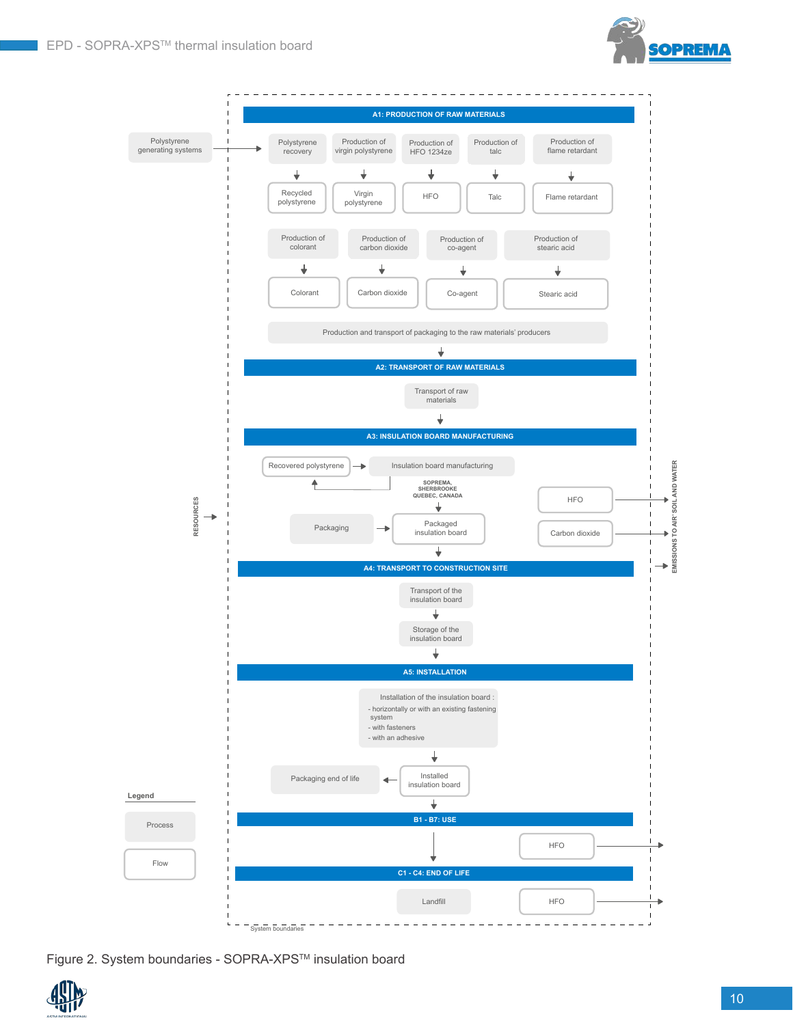



Figure 2. System boundaries - SOPRA-XPSTM insulation board

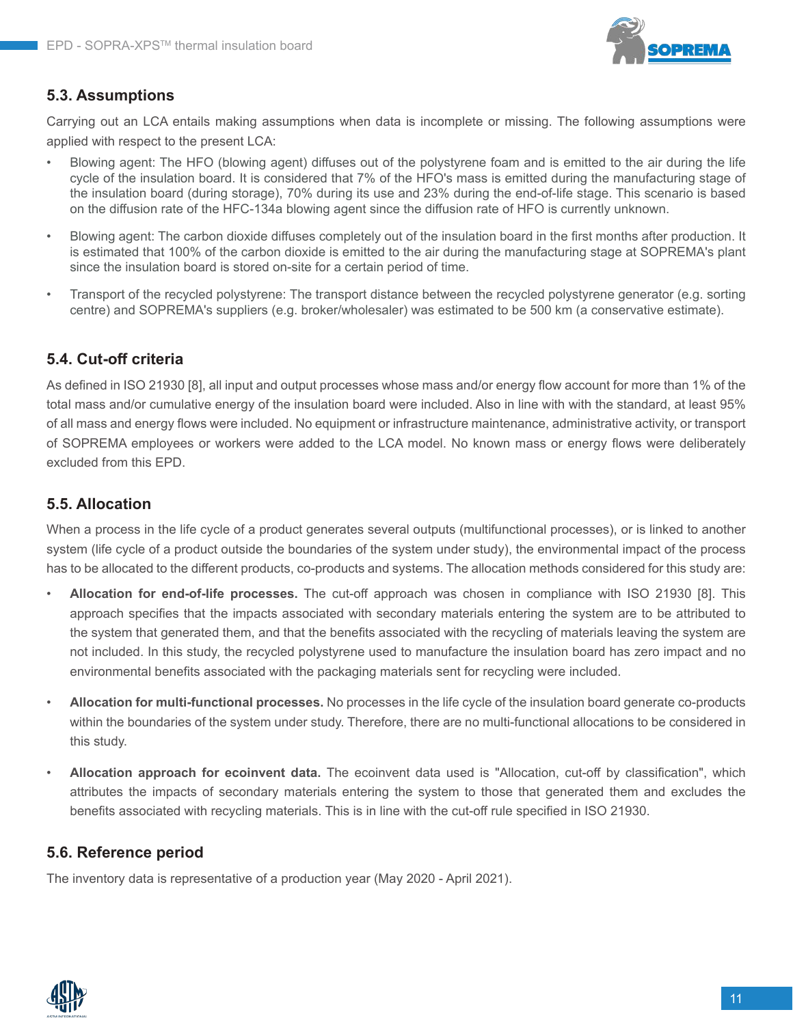

## **5.3. Assumptions**

Carrying out an LCA entails making assumptions when data is incomplete or missing. The following assumptions were applied with respect to the present LCA:

- Blowing agent: The HFO (blowing agent) diffuses out of the polystyrene foam and is emitted to the air during the life cycle of the insulation board. It is considered that 7% of the HFO's mass is emitted during the manufacturing stage of the insulation board (during storage), 70% during its use and 23% during the end-of-life stage. This scenario is based on the diffusion rate of the HFC-134a blowing agent since the diffusion rate of HFO is currently unknown.
- Blowing agent: The carbon dioxide diffuses completely out of the insulation board in the first months after production. It is estimated that 100% of the carbon dioxide is emitted to the air during the manufacturing stage at SOPREMA's plant since the insulation board is stored on-site for a certain period of time.
- Transport of the recycled polystyrene: The transport distance between the recycled polystyrene generator (e.g. sorting centre) and SOPREMA's suppliers (e.g. broker/wholesaler) was estimated to be 500 km (a conservative estimate).

## **5.4. Cut-off criteria**

As defined in ISO 21930 [8], all input and output processes whose mass and/or energy flow account for more than 1% of the total mass and/or cumulative energy of the insulation board were included. Also in line with with the standard, at least 95% of all mass and energy flows were included. No equipment or infrastructure maintenance, administrative activity, or transport of SOPREMA employees or workers were added to the LCA model. No known mass or energy flows were deliberately excluded from this EPD.

#### **5.5. Allocation**

When a process in the life cycle of a product generates several outputs (multifunctional processes), or is linked to another system (life cycle of a product outside the boundaries of the system under study), the environmental impact of the process has to be allocated to the different products, co-products and systems. The allocation methods considered for this study are:

- **Allocation for end-of-life processes.** The cut-off approach was chosen in compliance with ISO 21930 [8]. This approach specifies that the impacts associated with secondary materials entering the system are to be attributed to the system that generated them, and that the benefits associated with the recycling of materials leaving the system are not included. In this study, the recycled polystyrene used to manufacture the insulation board has zero impact and no environmental benefits associated with the packaging materials sent for recycling were included.
- **Allocation for multi-functional processes.** No processes in the life cycle of the insulation board generate co-products within the boundaries of the system under study. Therefore, there are no multi-functional allocations to be considered in this study.
- **Allocation approach for ecoinvent data.** The ecoinvent data used is "Allocation, cut-off by classification", which attributes the impacts of secondary materials entering the system to those that generated them and excludes the benefits associated with recycling materials. This is in line with the cut-off rule specified in ISO 21930.

#### **5.6. Reference period**

The inventory data is representative of a production year (May 2020 - April 2021).

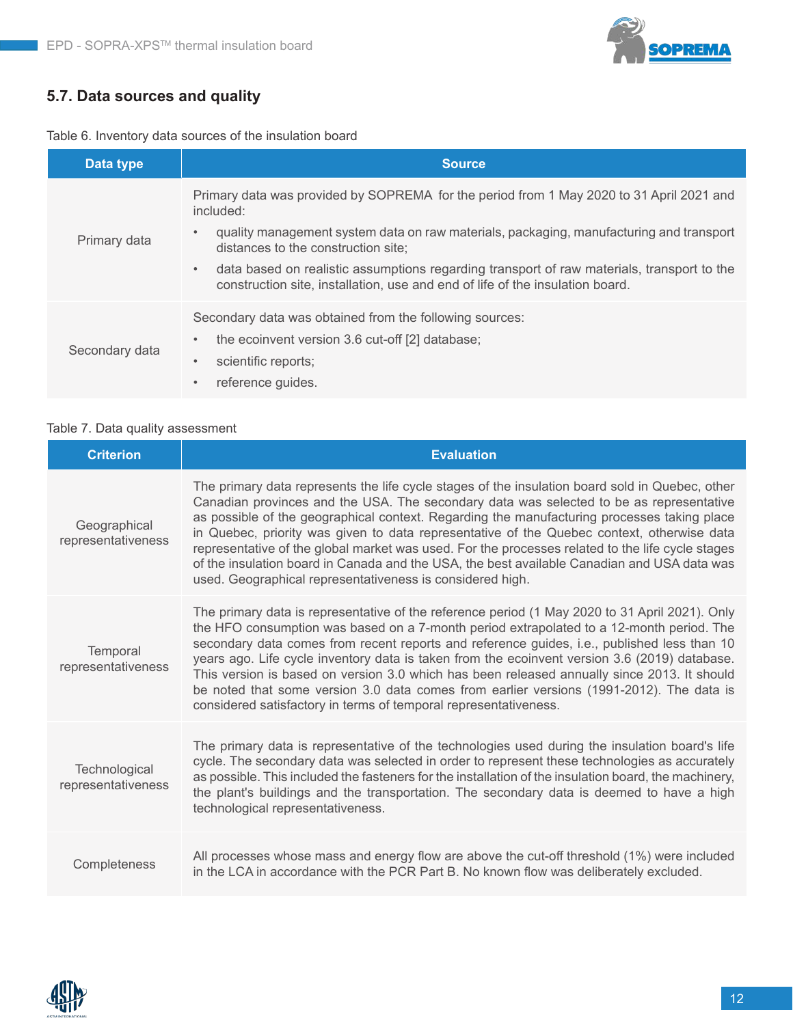

## **5.7. Data sources and quality**

|  | Table 6. Inventory data sources of the insulation board |  |  |  |  |
|--|---------------------------------------------------------|--|--|--|--|
|--|---------------------------------------------------------|--|--|--|--|

| Data type      | <b>Source</b>                                                                                                                                                                            |
|----------------|------------------------------------------------------------------------------------------------------------------------------------------------------------------------------------------|
| Primary data   | Primary data was provided by SOPREMA for the period from 1 May 2020 to 31 April 2021 and<br>included:                                                                                    |
|                | quality management system data on raw materials, packaging, manufacturing and transport<br>distances to the construction site;                                                           |
|                | data based on realistic assumptions regarding transport of raw materials, transport to the<br>$\bullet$<br>construction site, installation, use and end of life of the insulation board. |
|                | Secondary data was obtained from the following sources:                                                                                                                                  |
| Secondary data | the ecoinvent version 3.6 cut-off [2] database;<br>$\bullet$                                                                                                                             |
|                | scientific reports;<br>$\bullet$                                                                                                                                                         |
|                | reference guides.<br>$\bullet$                                                                                                                                                           |

#### Table 7. Data quality assessment

| <b>Criterion</b>                    | <b>Evaluation</b>                                                                                                                                                                                                                                                                                                                                                                                                                                                                                                                                                                                                                                         |
|-------------------------------------|-----------------------------------------------------------------------------------------------------------------------------------------------------------------------------------------------------------------------------------------------------------------------------------------------------------------------------------------------------------------------------------------------------------------------------------------------------------------------------------------------------------------------------------------------------------------------------------------------------------------------------------------------------------|
| Geographical<br>representativeness  | The primary data represents the life cycle stages of the insulation board sold in Quebec, other<br>Canadian provinces and the USA. The secondary data was selected to be as representative<br>as possible of the geographical context. Regarding the manufacturing processes taking place<br>in Quebec, priority was given to data representative of the Quebec context, otherwise data<br>representative of the global market was used. For the processes related to the life cycle stages<br>of the insulation board in Canada and the USA, the best available Canadian and USA data was<br>used. Geographical representativeness is considered high.   |
| Temporal<br>representativeness      | The primary data is representative of the reference period (1 May 2020 to 31 April 2021). Only<br>the HFO consumption was based on a 7-month period extrapolated to a 12-month period. The<br>secondary data comes from recent reports and reference guides, i.e., published less than 10<br>years ago. Life cycle inventory data is taken from the ecoinvent version 3.6 (2019) database.<br>This version is based on version 3.0 which has been released annually since 2013. It should<br>be noted that some version 3.0 data comes from earlier versions (1991-2012). The data is<br>considered satisfactory in terms of temporal representativeness. |
| Technological<br>representativeness | The primary data is representative of the technologies used during the insulation board's life<br>cycle. The secondary data was selected in order to represent these technologies as accurately<br>as possible. This included the fasteners for the installation of the insulation board, the machinery,<br>the plant's buildings and the transportation. The secondary data is deemed to have a high<br>technological representativeness.                                                                                                                                                                                                                |
| Completeness                        | All processes whose mass and energy flow are above the cut-off threshold (1%) were included<br>in the LCA in accordance with the PCR Part B. No known flow was deliberately excluded.                                                                                                                                                                                                                                                                                                                                                                                                                                                                     |

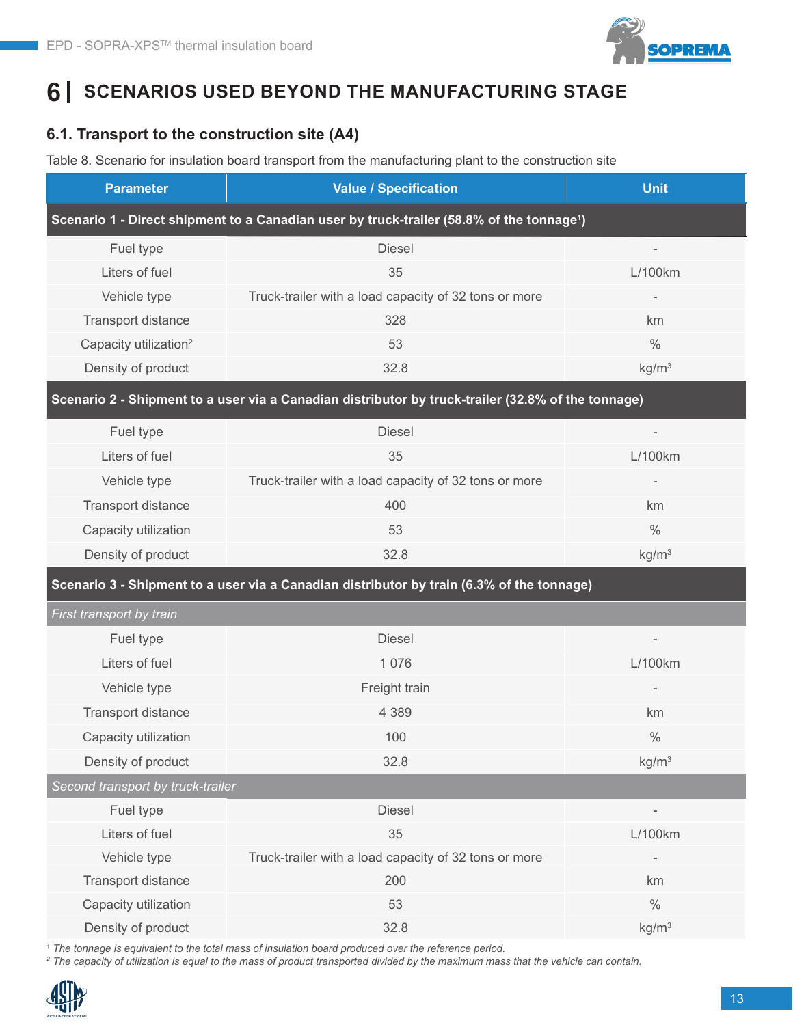

# **6 SCENARIOS USED BEYOND THE MANUFACTURING STAGE**

## **6.1. Transport to the construction site (A4)**

Table 8. Scenario for insulation board transport from the manufacturing plant to the construction site

| <b>Parameter</b>                                                                                      | <b>Value / Specification</b>                                                                       | <b>Unit</b>              |  |  |  |  |
|-------------------------------------------------------------------------------------------------------|----------------------------------------------------------------------------------------------------|--------------------------|--|--|--|--|
| Scenario 1 - Direct shipment to a Canadian user by truck-trailer (58.8% of the tonnage <sup>1</sup> ) |                                                                                                    |                          |  |  |  |  |
| Fuel type                                                                                             | <b>Diesel</b>                                                                                      |                          |  |  |  |  |
| Liters of fuel                                                                                        | 35                                                                                                 | L/100km                  |  |  |  |  |
| Vehicle type                                                                                          | Truck-trailer with a load capacity of 32 tons or more                                              |                          |  |  |  |  |
| Transport distance                                                                                    | 328                                                                                                | km                       |  |  |  |  |
| Capacity utilization <sup>2</sup>                                                                     | 53                                                                                                 | $\frac{0}{0}$            |  |  |  |  |
| Density of product                                                                                    | 32.8                                                                                               | kg/m <sup>3</sup>        |  |  |  |  |
|                                                                                                       | Scenario 2 - Shipment to a user via a Canadian distributor by truck-trailer (32.8% of the tonnage) |                          |  |  |  |  |
| Fuel type                                                                                             | <b>Diesel</b>                                                                                      | $\overline{\phantom{a}}$ |  |  |  |  |
| Liters of fuel                                                                                        | 35                                                                                                 | L/100km                  |  |  |  |  |
| Vehicle type                                                                                          | Truck-trailer with a load capacity of 32 tons or more                                              |                          |  |  |  |  |
| Transport distance                                                                                    | 400                                                                                                | km                       |  |  |  |  |
| Capacity utilization                                                                                  | 53                                                                                                 | $\frac{0}{0}$            |  |  |  |  |
| Density of product                                                                                    | 32.8                                                                                               | kg/m <sup>3</sup>        |  |  |  |  |
|                                                                                                       | Scenario 3 - Shipment to a user via a Canadian distributor by train (6.3% of the tonnage)          |                          |  |  |  |  |
| First transport by train                                                                              |                                                                                                    |                          |  |  |  |  |
| Fuel type                                                                                             | <b>Diesel</b>                                                                                      |                          |  |  |  |  |
| Liters of fuel                                                                                        | 1 0 7 6                                                                                            | L/100km                  |  |  |  |  |
| Vehicle type                                                                                          | Freight train                                                                                      |                          |  |  |  |  |
| Transport distance                                                                                    | 4 3 8 9                                                                                            | km                       |  |  |  |  |
| Capacity utilization                                                                                  | 100                                                                                                | $\frac{0}{0}$            |  |  |  |  |
| Density of product                                                                                    | 32.8                                                                                               | kg/m <sup>3</sup>        |  |  |  |  |
| Second transport by truck-trailer                                                                     |                                                                                                    |                          |  |  |  |  |
| Fuel type                                                                                             | <b>Diesel</b>                                                                                      | $\overline{\phantom{0}}$ |  |  |  |  |
| Liters of fuel                                                                                        | 35                                                                                                 | L/100km                  |  |  |  |  |
| Vehicle type                                                                                          | Truck-trailer with a load capacity of 32 tons or more                                              |                          |  |  |  |  |
| Transport distance                                                                                    | 200                                                                                                | km                       |  |  |  |  |
| Capacity utilization                                                                                  | 53                                                                                                 | $\%$                     |  |  |  |  |
| Density of product                                                                                    | 32.8                                                                                               | kg/m <sup>3</sup>        |  |  |  |  |

*1 The tonnage is equivalent to the total mass of insulation board produced over the reference period.*

*2 The capacity of utilization is equal to the mass of product transported divided by the maximum mass that the vehicle can contain.*

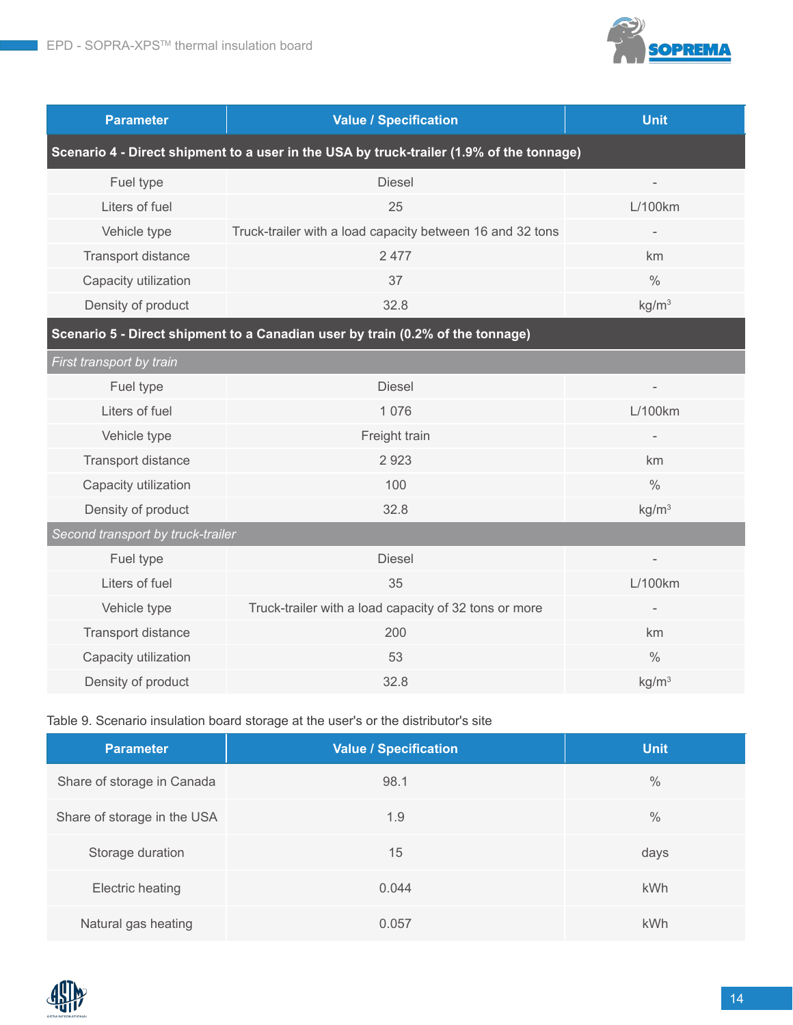

| <b>Parameter</b>                                                                         | <b>Value / Specification</b>                              | <b>Unit</b>              |  |  |  |  |
|------------------------------------------------------------------------------------------|-----------------------------------------------------------|--------------------------|--|--|--|--|
| Scenario 4 - Direct shipment to a user in the USA by truck-trailer (1.9% of the tonnage) |                                                           |                          |  |  |  |  |
| Fuel type                                                                                | <b>Diesel</b>                                             | $\overline{\phantom{a}}$ |  |  |  |  |
| Liters of fuel                                                                           | 25                                                        | L/100km                  |  |  |  |  |
| Vehicle type                                                                             | Truck-trailer with a load capacity between 16 and 32 tons |                          |  |  |  |  |
| Transport distance                                                                       | 2 4 7 7                                                   | km                       |  |  |  |  |
| Capacity utilization                                                                     | 37                                                        | $\frac{0}{0}$            |  |  |  |  |
| Density of product                                                                       | 32.8                                                      | kg/m <sup>3</sup>        |  |  |  |  |
| Scenario 5 - Direct shipment to a Canadian user by train (0.2% of the tonnage)           |                                                           |                          |  |  |  |  |
| First transport by train                                                                 |                                                           |                          |  |  |  |  |
| Fuel type                                                                                | <b>Diesel</b>                                             | $\overline{a}$           |  |  |  |  |
| Liters of fuel                                                                           | 1 0 7 6                                                   | L/100km                  |  |  |  |  |
| Vehicle type                                                                             | Freight train                                             |                          |  |  |  |  |
| <b>Transport distance</b>                                                                | 2923                                                      | km                       |  |  |  |  |
| Capacity utilization                                                                     | 100                                                       | $\frac{0}{0}$            |  |  |  |  |
| Density of product                                                                       | 32.8                                                      | kg/m <sup>3</sup>        |  |  |  |  |
| Second transport by truck-trailer                                                        |                                                           |                          |  |  |  |  |
| Fuel type                                                                                | <b>Diesel</b>                                             |                          |  |  |  |  |
| Liters of fuel                                                                           | 35                                                        | L/100km                  |  |  |  |  |
| Vehicle type                                                                             | Truck-trailer with a load capacity of 32 tons or more     |                          |  |  |  |  |
| Transport distance                                                                       | 200                                                       | km                       |  |  |  |  |
| Capacity utilization                                                                     | 53                                                        | $\frac{0}{0}$            |  |  |  |  |
| Density of product                                                                       | 32.8                                                      | kg/m <sup>3</sup>        |  |  |  |  |

## Table 9. Scenario insulation board storage at the user's or the distributor's site

| <b>Parameter</b>            | <b>Value / Specification</b> | <b>Unit</b>   |
|-----------------------------|------------------------------|---------------|
| Share of storage in Canada  | 98.1                         | $\frac{0}{0}$ |
| Share of storage in the USA | 1.9                          | $\frac{0}{0}$ |
| Storage duration            | 15                           | days          |
| Electric heating            | 0.044                        | kWh           |
| Natural gas heating         | 0.057                        | <b>kWh</b>    |

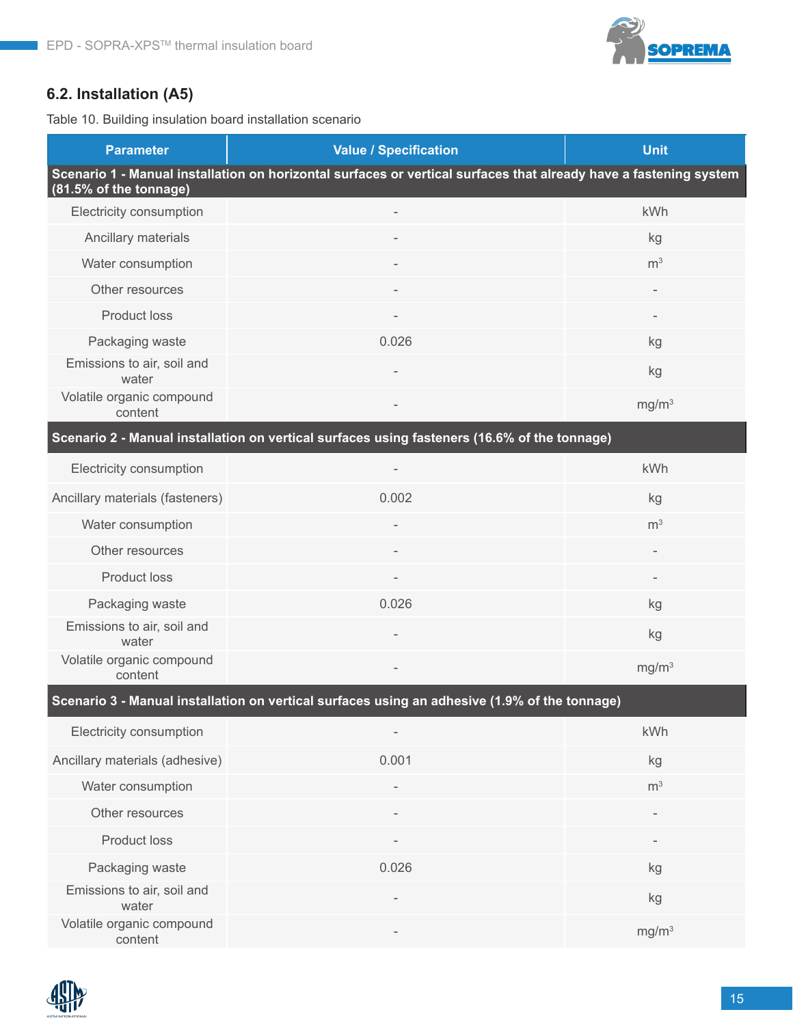

## **6.2. Installation (A5)**

Table 10. Building insulation board installation scenario

| <b>Parameter</b>                     | <b>Value / Specification</b>                                                                                      | <b>Unit</b>              |
|--------------------------------------|-------------------------------------------------------------------------------------------------------------------|--------------------------|
| (81.5% of the tonnage)               | Scenario 1 - Manual installation on horizontal surfaces or vertical surfaces that already have a fastening system |                          |
| Electricity consumption              |                                                                                                                   | kWh                      |
| Ancillary materials                  |                                                                                                                   | kg                       |
| Water consumption                    |                                                                                                                   | m <sup>3</sup>           |
| Other resources                      |                                                                                                                   |                          |
| <b>Product loss</b>                  |                                                                                                                   | $\qquad \qquad =$        |
| Packaging waste                      | 0.026                                                                                                             | kg                       |
| Emissions to air, soil and<br>water  |                                                                                                                   | kg                       |
| Volatile organic compound<br>content |                                                                                                                   | mg/m <sup>3</sup>        |
|                                      | Scenario 2 - Manual installation on vertical surfaces using fasteners (16.6% of the tonnage)                      |                          |
| Electricity consumption              |                                                                                                                   | kWh                      |
| Ancillary materials (fasteners)      | 0.002                                                                                                             | kg                       |
| Water consumption                    |                                                                                                                   | m <sup>3</sup>           |
| Other resources                      |                                                                                                                   | $\overline{\phantom{a}}$ |
| Product loss                         |                                                                                                                   |                          |
| Packaging waste                      | 0.026                                                                                                             | kg                       |
| Emissions to air, soil and<br>water  |                                                                                                                   | kg                       |
| Volatile organic compound<br>content | $\overline{\phantom{a}}$                                                                                          | mg/m <sup>3</sup>        |
|                                      | Scenario 3 - Manual installation on vertical surfaces using an adhesive (1.9% of the tonnage)                     |                          |
| Electricity consumption              |                                                                                                                   | kWh                      |
| Ancillary materials (adhesive)       | 0.001                                                                                                             | kg                       |
| Water consumption                    |                                                                                                                   | m <sup>3</sup>           |
| Other resources                      |                                                                                                                   |                          |
| <b>Product loss</b>                  |                                                                                                                   |                          |
| Packaging waste                      | 0.026                                                                                                             | kg                       |
| Emissions to air, soil and<br>water  |                                                                                                                   | kg                       |
| Volatile organic compound<br>content |                                                                                                                   | mg/m <sup>3</sup>        |

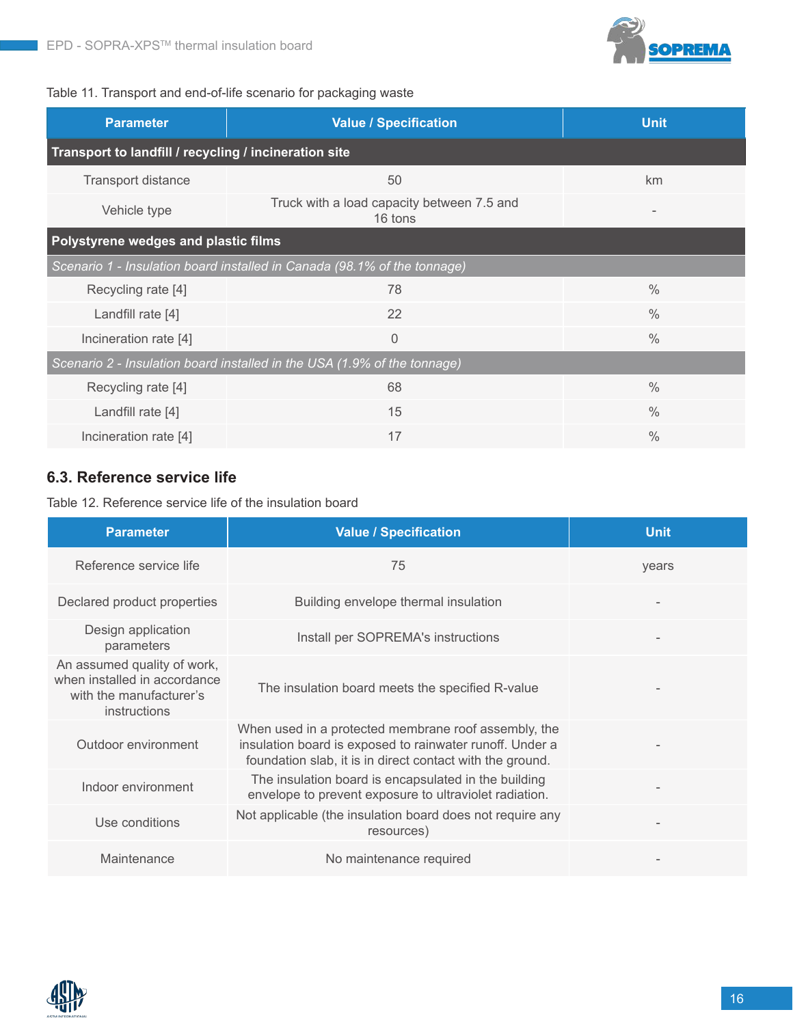

#### Table 11. Transport and end-of-life scenario for packaging waste

| <b>Parameter</b>                                      | <b>Value / Specification</b>                                             | <b>Unit</b>   |  |  |  |  |  |  |  |
|-------------------------------------------------------|--------------------------------------------------------------------------|---------------|--|--|--|--|--|--|--|
| Transport to landfill / recycling / incineration site |                                                                          |               |  |  |  |  |  |  |  |
| Transport distance                                    | km                                                                       |               |  |  |  |  |  |  |  |
| Vehicle type                                          | Truck with a load capacity between 7.5 and<br>16 tons                    |               |  |  |  |  |  |  |  |
| Polystyrene wedges and plastic films                  |                                                                          |               |  |  |  |  |  |  |  |
|                                                       | Scenario 1 - Insulation board installed in Canada (98.1% of the tonnage) |               |  |  |  |  |  |  |  |
| Recycling rate [4]                                    | 78                                                                       | $\frac{0}{0}$ |  |  |  |  |  |  |  |
| Landfill rate [4]                                     | 22                                                                       | $\frac{0}{0}$ |  |  |  |  |  |  |  |
| Incineration rate [4]                                 | $\overline{0}$                                                           | $\frac{0}{0}$ |  |  |  |  |  |  |  |
|                                                       | Scenario 2 - Insulation board installed in the USA (1.9% of the tonnage) |               |  |  |  |  |  |  |  |
| Recycling rate [4]                                    | 68                                                                       | $\frac{0}{0}$ |  |  |  |  |  |  |  |
| Landfill rate [4]                                     | 15                                                                       | $\frac{0}{0}$ |  |  |  |  |  |  |  |
| Incineration rate [4]                                 | 17                                                                       | $\frac{0}{0}$ |  |  |  |  |  |  |  |

## **6.3. Reference service life**

Table 12. Reference service life of the insulation board

| <b>Parameter</b>                                                                                       | <b>Value / Specification</b>                                                                                                                                                  | <b>Unit</b> |
|--------------------------------------------------------------------------------------------------------|-------------------------------------------------------------------------------------------------------------------------------------------------------------------------------|-------------|
| Reference service life                                                                                 | 75                                                                                                                                                                            | years       |
| Declared product properties                                                                            | Building envelope thermal insulation                                                                                                                                          |             |
| Design application<br>parameters                                                                       | Install per SOPREMA's instructions                                                                                                                                            |             |
| An assumed quality of work,<br>when installed in accordance<br>with the manufacturer's<br>instructions | The insulation board meets the specified R-value                                                                                                                              |             |
| Outdoor environment                                                                                    | When used in a protected membrane roof assembly, the<br>insulation board is exposed to rainwater runoff. Under a<br>foundation slab, it is in direct contact with the ground. |             |
| Indoor environment                                                                                     | The insulation board is encapsulated in the building<br>envelope to prevent exposure to ultraviolet radiation.                                                                |             |
| Use conditions                                                                                         | Not applicable (the insulation board does not require any<br>resources)                                                                                                       |             |
| Maintenance                                                                                            | No maintenance required                                                                                                                                                       |             |

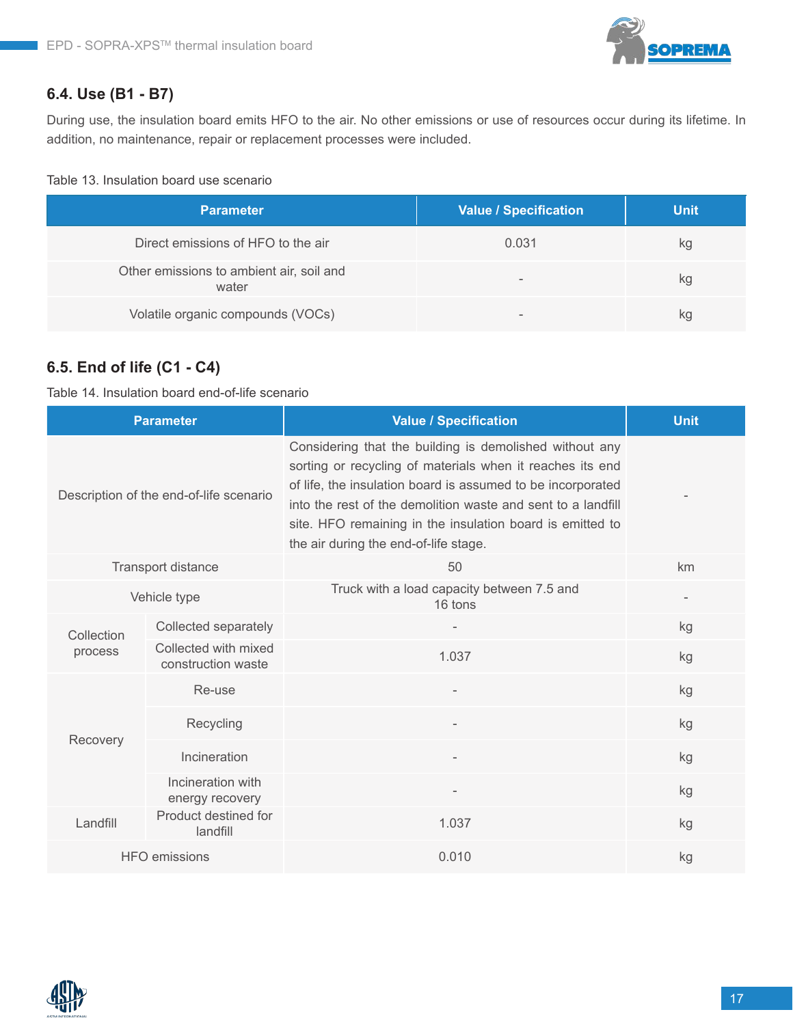## **6.4. Use (B1 - B7)**

During use, the insulation board emits HFO to the air. No other emissions or use of resources occur during its lifetime. In addition, no maintenance, repair or replacement processes were included.

#### Table 13. Insulation board use scenario

| <b>Parameter</b>                                  | <b>Value / Specification</b> | <b>Unit</b> |
|---------------------------------------------------|------------------------------|-------------|
| Direct emissions of HFO to the air                | 0.031                        | kg          |
| Other emissions to ambient air, soil and<br>water | $\overline{\phantom{a}}$     | kg          |
| Volatile organic compounds (VOCs)                 | $\,$                         | kg          |

## **6.5. End of life (C1 - C4)**

Table 14. Insulation board end-of-life scenario

|              | <b>Parameter</b>                           | <b>Value / Specification</b>                                                                                                                                                                                                                                                                                                                              | <b>Unit</b> |
|--------------|--------------------------------------------|-----------------------------------------------------------------------------------------------------------------------------------------------------------------------------------------------------------------------------------------------------------------------------------------------------------------------------------------------------------|-------------|
|              | Description of the end-of-life scenario    | Considering that the building is demolished without any<br>sorting or recycling of materials when it reaches its end<br>of life, the insulation board is assumed to be incorporated<br>into the rest of the demolition waste and sent to a landfill<br>site. HFO remaining in the insulation board is emitted to<br>the air during the end-of-life stage. |             |
|              | Transport distance                         | 50                                                                                                                                                                                                                                                                                                                                                        | km          |
| Vehicle type |                                            | Truck with a load capacity between 7.5 and<br>16 tons                                                                                                                                                                                                                                                                                                     |             |
| Collection   | Collected separately                       |                                                                                                                                                                                                                                                                                                                                                           | kg          |
| process      | Collected with mixed<br>construction waste | 1.037                                                                                                                                                                                                                                                                                                                                                     | kg          |
|              | Re-use                                     |                                                                                                                                                                                                                                                                                                                                                           | kg          |
| Recovery     | Recycling                                  | $\overline{\phantom{a}}$                                                                                                                                                                                                                                                                                                                                  | kg          |
|              | Incineration                               |                                                                                                                                                                                                                                                                                                                                                           | kg          |
|              | Incineration with<br>energy recovery       |                                                                                                                                                                                                                                                                                                                                                           | kg          |
| Landfill     | Product destined for<br>landfill           | 1.037                                                                                                                                                                                                                                                                                                                                                     | kg          |
|              | <b>HFO</b> emissions                       | 0.010                                                                                                                                                                                                                                                                                                                                                     | kg          |

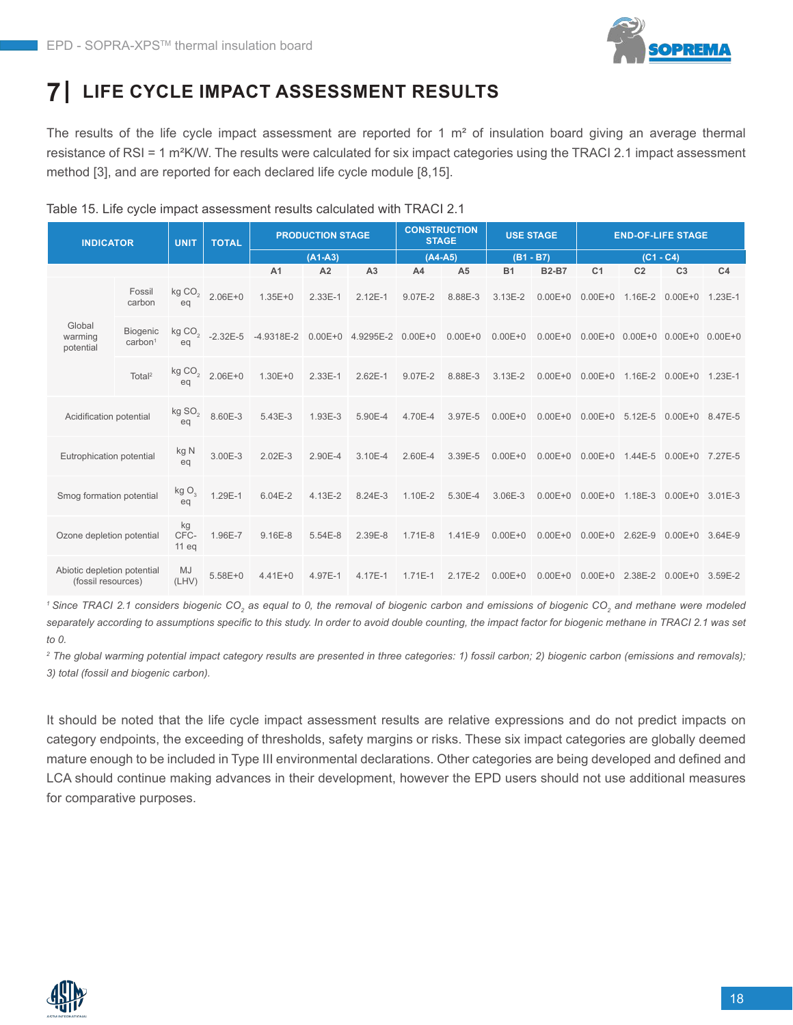

# **7 LIFE CYCLE IMPACT ASSESSMENT RESULTS**

The results of the life cycle impact assessment are reported for 1  $m<sup>2</sup>$  of insulation board giving an average thermal resistance of RSI = 1 m²K/W. The results were calculated for six impact categories using the TRACI 2.1 impact assessment method [3], and are reported for each declared life cycle module [8,15].

Table 15. Life cycle impact assessment results calculated with TRACI 2.1

| <b>INDICATOR</b>                                  |                                        | <b>UNIT</b>              | <b>TOTAL</b>      |                | <b>PRODUCTION STAGE</b> |                               |                | <b>CONSTRUCTION</b><br><b>STAGE</b> |             | <b>USE STAGE</b>                                              |                         |                | <b>END-OF-LIFE STAGE</b>                |                |
|---------------------------------------------------|----------------------------------------|--------------------------|-------------------|----------------|-------------------------|-------------------------------|----------------|-------------------------------------|-------------|---------------------------------------------------------------|-------------------------|----------------|-----------------------------------------|----------------|
|                                                   |                                        |                          |                   | $(A1-A3)$      |                         |                               | $(A4-A5)$      |                                     | $(B1 - B7)$ |                                                               | $(C1 - C4)$             |                |                                         |                |
|                                                   |                                        |                          |                   | A <sub>1</sub> | A <sub>2</sub>          | A <sub>3</sub>                | A <sub>4</sub> | A <sub>5</sub>                      | <b>B1</b>   | <b>B2-B7</b>                                                  | C <sub>1</sub>          | C <sub>2</sub> | C <sub>3</sub>                          | C <sub>4</sub> |
|                                                   | Fossil<br>carbon                       | kg $\mathsf{CO}_2$<br>ea | $2.06E + 0$       | $1.35E + 0$    | $2.33E-1$               | $2.12E-1$                     | 9.07E-2        | 8.88E-3                             | $3.13E - 2$ |                                                               | $0.00E + 0$ $0.00E + 0$ |                | 1.16E-2 0.00E+0 1.23E-1                 |                |
| Global<br>warming<br>potential                    | <b>Biogenic</b><br>carbon <sup>1</sup> | ea                       | kg $CO2$ -2.32E-5 | $-4.9318E - 2$ |                         | $0.00E+0$ 4.9295E-2 $0.00E+0$ |                |                                     |             | 0.00E+0  0.00E+0  0.00E+0  0.00E+0  0.00E+0  0.00E+0  0.00E+0 |                         |                |                                         |                |
|                                                   | Total <sup>2</sup>                     | kg $\mathsf{CO}_2$<br>eq | $2.06E + 0$       | $1.30E + 0$    | $2.33E-1$               | $2.62E - 1$                   | 9.07E-2        | 8.88E-3                             | $3.13E - 2$ |                                                               | $0.00E + 0$ $0.00E + 0$ |                | 1.16E-2 0.00E+0 1.23E-1                 |                |
| Acidification potential                           |                                        | kg $SO2$<br>eq           | 8.60E-3           | 5.43E-3        | 1.93E-3                 | 5.90E-4                       | 4.70E-4        | 3.97E-5                             | $0.00E + 0$ |                                                               |                         |                | 0.00E+0 0.00E+0 5.12E-5 0.00E+0 8.47E-5 |                |
| Eutrophication potential                          |                                        | kg N<br>eq               | 3.00E-3           | $2.02E - 3$    | 2.90E-4                 | 3.10E-4                       | 2.60E-4        | 3.39E-5                             | $0.00E + 0$ |                                                               |                         |                | 0.00E+0 0.00E+0 1.44E-5 0.00E+0 7.27E-5 |                |
| Smog formation potential                          |                                        | kgO <sub>3</sub><br>eq   | 1.29E-1           | $6.04E - 2$    | 4.13E-2                 | 8.24E-3                       | 1.10E-2        | 5.30E-4                             | 3.06E-3     | $0.00E + 0$                                                   | $0.00E + 0$             |                | 1.18E-3 0.00E+0 3.01E-3                 |                |
| Ozone depletion potential                         |                                        | kg<br>CFC-<br>$11$ eq    | 1.96E-7           | $9.16E-8$      | 5.54E-8                 | 2.39E-8                       | $1.71E-8$      | 1.41E-9                             | $0.00E + 0$ |                                                               | $0.00E + 0$ 0.00E+0     | 2.62E-9        | $0.00E + 0$ 3.64E-9                     |                |
| Abiotic depletion potential<br>(fossil resources) |                                        | MJ<br>(LHV)              | $5.58E + 0$       | $4.41E + 0$    | 4.97E-1                 | 4.17E-1                       | $1.71E-1$      | $2.17E - 2$                         | $0.00E + 0$ |                                                               |                         |                | 0.00E+0 0.00E+0 2.38E-2 0.00E+0 3.59E-2 |                |

<sup>1</sup> Since TRACI 2.1 considers biogenic CO<sub>2</sub> as equal to 0, the removal of biogenic carbon and emissions of biogenic CO<sub>2</sub> and methane were modeled separately according to assumptions specific to this study. In order to avoid double counting, the impact factor for biogenic methane in TRACI 2.1 was set *to 0.*

*2 The global warming potential impact category results are presented in three categories: 1) fossil carbon; 2) biogenic carbon (emissions and removals); 3) total (fossil and biogenic carbon).*

It should be noted that the life cycle impact assessment results are relative expressions and do not predict impacts on category endpoints, the exceeding of thresholds, safety margins or risks. These six impact categories are globally deemed mature enough to be included in Type III environmental declarations. Other categories are being developed and defined and LCA should continue making advances in their development, however the EPD users should not use additional measures for comparative purposes.

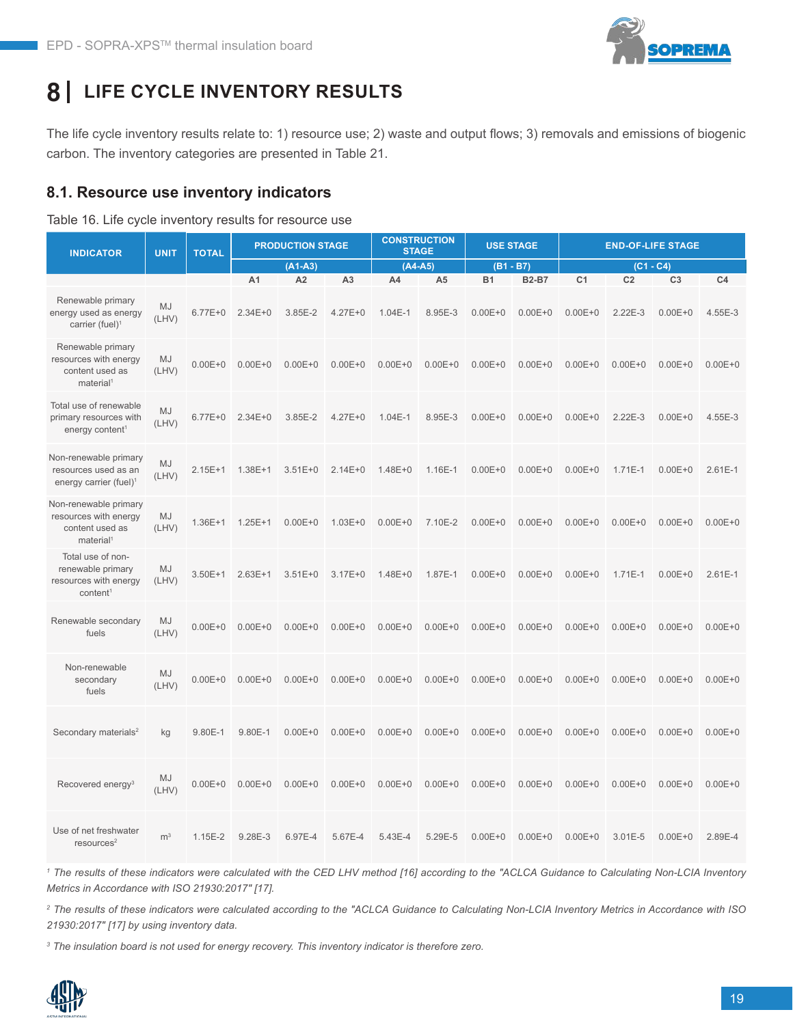

# **8 LIFE CYCLE INVENTORY RESULTS**

The life cycle inventory results relate to: 1) resource use; 2) waste and output flows; 3) removals and emissions of biogenic carbon. The inventory categories are presented in Table 21.

#### **8.1. Resource use inventory indicators**

#### Table 16. Life cycle inventory results for resource use

| <b>INDICATOR</b>                                                                        | <b>UNIT</b>        | <b>TOTAL</b> | <b>PRODUCTION STAGE</b> |                |                | <b>CONSTRUCTION</b><br><b>STAGE</b> |                | <b>USE STAGE</b> |              | <b>END-OF-LIFE STAGE</b> |                |                |                |
|-----------------------------------------------------------------------------------------|--------------------|--------------|-------------------------|----------------|----------------|-------------------------------------|----------------|------------------|--------------|--------------------------|----------------|----------------|----------------|
|                                                                                         |                    |              |                         | $(A1-A3)$      |                | $(A4-A5)$                           |                |                  | $(B1 - B7)$  |                          | $(C1 - C4)$    |                |                |
|                                                                                         |                    |              | A <sub>1</sub>          | A <sub>2</sub> | A <sub>3</sub> | A4                                  | A <sub>5</sub> | <b>B1</b>        | <b>B2-B7</b> | C <sub>1</sub>           | C <sub>2</sub> | C <sub>3</sub> | C <sub>4</sub> |
| Renewable primary<br>energy used as energy<br>carrier (fuel) $1$                        | <b>MJ</b><br>(LHV) | $6.77E + 0$  | $2.34E + 0$             | 3.85E-2        | $4.27E + 0$    | $1.04E-1$                           | 8.95E-3        | $0.00E + 0$      | $0.00E + 0$  | $0.00E + 0$              | $2.22E-3$      | $0.00E + 0$    | 4.55E-3        |
| Renewable primary<br>resources with energy<br>content used as<br>material <sup>1</sup>  | MJ<br>(LHV)        | $0.00E + 0$  | $0.00E + 0$             | $0.00E + 0$    | $0.00E + 0$    | $0.00E + 0$                         | $0.00E + 0$    | $0.00E + 0$      | $0.00E + 0$  | $0.00E + 0$              | $0.00E + 0$    | $0.00E + 0$    | $0.00E + 0$    |
| Total use of renewable<br>primary resources with<br>energy content <sup>1</sup>         | MJ<br>(LHV)        | $6.77E + 0$  | $2.34E + 0$             | 3.85E-2        | $4.27E + 0$    | $1.04E-1$                           | 8.95E-3        | $0.00E + 0$      | $0.00E + 0$  | $0.00E + 0$              | $2.22E-3$      | $0.00E + 0$    | 4.55E-3        |
| Non-renewable primary<br>resources used as an<br>energy carrier (fuel) <sup>1</sup>     | <b>MJ</b><br>(LHV) | $2.15E+1$    | $1.38E + 1$             | $3.51E + 0$    | $2.14E + 0$    | $1.48E + 0$                         | 1.16E-1        | $0.00E + 0$      | $0.00E + 0$  | $0.00E + 0$              | $1.71E-1$      | $0.00E + 0$    | $2.61E-1$      |
| Non-renewable primary<br>resources with energy<br>content used as<br>material           | <b>MJ</b><br>(LHV) | $1.36E + 1$  | $1.25E + 1$             | $0.00E + 0$    | $1.03E + 0$    | $0.00E + 0$                         | 7.10E-2        | $0.00E + 0$      | $0.00E + 0$  | $0.00E + 0$              | $0.00E + 0$    | $0.00E + 0$    | $0.00E + 0$    |
| Total use of non-<br>renewable primary<br>resources with energy<br>content <sup>1</sup> | <b>MJ</b><br>(LHV) | $3.50E + 1$  | $2.63E+1$               | $3.51E + 0$    | $3.17E + 0$    | $1.48E + 0$                         | 1.87E-1        | $0.00E + 0$      | $0.00E + 0$  | $0.00E + 0$              | 1.71E-1        | $0.00E + 0$    | $2.61E-1$      |
| Renewable secondary<br>fuels                                                            | MJ<br>(LHV)        | $0.00E + 0$  | $0.00E + 0$             | $0.00E + 0$    | $0.00E + 0$    | $0.00E + 0$                         | $0.00E + 0$    | $0.00E + 0$      | $0.00E + 0$  | $0.00E + 0$              | $0.00E + 0$    | $0.00E + 0$    | $0.00E + 0$    |
| Non-renewable<br>secondary<br>fuels                                                     | MJ<br>(LHV)        | $0.00E + 0$  | $0.00E + 0$             | $0.00E + 0$    | $0.00E + 0$    | $0.00E + 0$                         | $0.00E + 0$    | $0.00E + 0$      | $0.00E + 0$  | $0.00E + 0$              | $0.00E + 0$    | $0.00E + 0$    | $0.00E + 0$    |
| Secondary materials <sup>2</sup>                                                        | kg                 | 9.80E-1      | 9.80E-1                 | $0.00E + 0$    | $0.00E + 0$    | $0.00E + 0$                         | $0.00E + 0$    | $0.00E + 0$      | $0.00E + 0$  | $0.00E + 0$              | $0.00E + 0$    | $0.00E + 0$    | $0.00E + 0$    |
| Recovered energy <sup>3</sup>                                                           | MJ<br>(LHV)        | $0.00E + 0$  | $0.00E + 0$             | $0.00E + 0$    | $0.00E + 0$    | $0.00E + 0$                         | $0.00E + 0$    | $0.00E + 0$      | $0.00E + 0$  | $0.00E + 0$              | $0.00E + 0$    | $0.00E + 0$    | $0.00E + 0$    |
| Use of net freshwater<br>resources <sup>2</sup>                                         | m <sup>3</sup>     | $1.15E - 2$  | 9.28E-3                 | 6.97E-4        | 5.67E-4        | 5.43E-4                             | 5.29E-5        | $0.00E + 0$      | $0.00E + 0$  | $0.00E + 0$              | 3.01E-5        | $0.00E + 0$    | 2.89E-4        |

<sup>1</sup> The results of these indicators were calculated with the CED LHV method [16] according to the "ACLCA Guidance to Calculating Non-LCIA Inventory *Metrics in Accordance with ISO 21930:2017" [17].* 

*2 The results of these indicators were calculated according to the "ACLCA Guidance to Calculating Non-LCIA Inventory Metrics in Accordance with ISO 21930:2017" [17] by using inventory data.*

*3 The insulation board is not used for energy recovery. This inventory indicator is therefore zero.* 

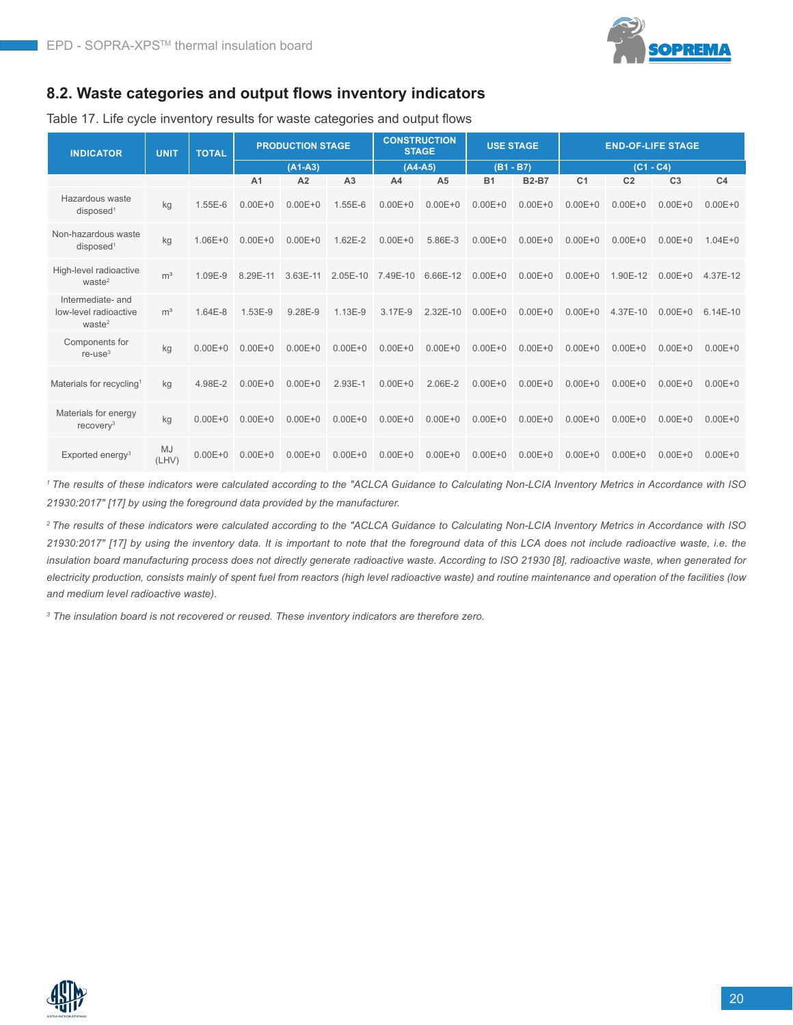

#### **8.2. Waste categories and output flows inventory indicators**

Table 17. Life cycle inventory results for waste categories and output flows

| <b>INDICATOR</b>                                                 | <b>UNIT</b>        | <b>TOTAL</b> | <b>PRODUCTION STAGE</b> |             | <b>CONSTRUCTION</b><br><b>USE STAGE</b><br><b>STAGE</b> |             |                |             | <b>END-OF-LIFE STAGE</b> |                |                |                |                |
|------------------------------------------------------------------|--------------------|--------------|-------------------------|-------------|---------------------------------------------------------|-------------|----------------|-------------|--------------------------|----------------|----------------|----------------|----------------|
|                                                                  |                    |              | $(A1-A3)$               |             |                                                         | $(A4-A5)$   |                | $(B1 - B7)$ |                          | $(C1 - C4)$    |                |                |                |
|                                                                  |                    |              | A <sub>1</sub>          | A2          | A <sub>3</sub>                                          | A4          | A <sub>5</sub> | <b>B1</b>   | <b>B2-B7</b>             | C <sub>1</sub> | C <sub>2</sub> | C <sub>3</sub> | C <sub>4</sub> |
| Hazardous waste<br>disposed <sup>1</sup>                         | kg                 | 1.55E-6      | $0.00E + 0$             | $0.00E + 0$ | 1.55E-6                                                 | $0.00E + 0$ | $0.00E + 0$    | $0.00E + 0$ | $0.00E + 0$              | $0.00E + 0$    | $0.00E + 0$    | $0.00E + 0$    | $0.00E + 0$    |
| Non-hazardous waste<br>disposed <sup>1</sup>                     | kg                 | $1.06E + 0$  | $0.00E + 0$             | $0.00E + 0$ | $1.62E - 2$                                             | $0.00E + 0$ | 5.86E-3        | $0.00E + 0$ | $0.00E + 0$              | $0.00E + 0$    | $0.00E + 0$    | $0.00E + 0$    | $1.04E + 0$    |
| High-level radioactive<br>waste <sup>2</sup>                     | m <sup>3</sup>     | 1.09E-9      | 8.29E-11                | 3.63E-11    | $2.05E - 10$                                            | 7.49E-10    | 6.66E-12       | $0.00E + 0$ | $0.00E + 0$              | $0.00E + 0$    | 1.90E-12       | $0.00E + 0$    | 4.37E-12       |
| Intermediate- and<br>low-level radioactive<br>waste <sup>2</sup> | m <sup>3</sup>     | $1.64E - 8$  | 1.53E-9                 | 9.28E-9     | $1.13E-9$                                               | 3.17E-9     | 2.32E-10       | $0.00E + 0$ | $0.00E + 0$              | $0.00E + 0$    | 4.37E-10       | $0.00E + 0$    | $6.14E-10$     |
| Components for<br>$re$ -use $3$                                  | kg                 | $0.00E + 0$  | $0.00E + 0$             | $0.00E + 0$ | $0.00E + 0$                                             | $0.00E + 0$ | $0.00E + 0$    | $0.00E + 0$ | $0.00E + 0$              | $0.00E + 0$    | $0.00E + 0$    | $0.00E + 0$    | $0.00E + 0$    |
| Materials for recycling <sup>1</sup>                             | kg                 | 4.98E-2      | $0.00E + 0$             | $0.00E + 0$ | 2.93E-1                                                 | $0.00E + 0$ | 2.06E-2        | $0.00E + 0$ | $0.00E + 0$              | $0.00E + 0$    | $0.00E + 0$    | $0.00E + 0$    | $0.00E + 0$    |
| Materials for energy<br>recovery $3$                             | kg                 | $0.00E + 0$  | $0.00E + 0$             | $0.00E + 0$ | $0.00E + 0$                                             | $0.00E + 0$ | $0.00E + 0$    | $0.00E + 0$ | $0.00E + 0$              | $0.00E + 0$    | $0.00E + 0$    | $0.00E + 0$    | $0.00E + 0$    |
| Exported energy <sup>3</sup>                                     | <b>MJ</b><br>(LHV) | $0.00E + 0$  | $0.00E + 0$             | $0.00E + 0$ | $0.00E + 0$                                             | $0.00E + 0$ | $0.00E + 0$    | $0.00E + 0$ | $0.00E + 0$              | $0.00E + 0$    | $0.00E + 0$    | $0.00E + 0$    | $0.00E + 0$    |

*1 The results of these indicators were calculated according to the "ACLCA Guidance to Calculating Non-LCIA Inventory Metrics in Accordance with ISO 21930:2017" [17] by using the foreground data provided by the manufacturer.*

*2 The results of these indicators were calculated according to the "ACLCA Guidance to Calculating Non-LCIA Inventory Metrics in Accordance with ISO 21930:2017" [17] by using the inventory data. It is important to note that the foreground data of this LCA does not include radioactive waste, i.e. the insulation board manufacturing process does not directly generate radioactive waste. According to ISO 21930 [8], radioactive waste, when generated for electricity production, consists mainly of spent fuel from reactors (high level radioactive waste) and routine maintenance and operation of the facilities (low and medium level radioactive waste).*

*3 The insulation board is not recovered or reused. These inventory indicators are therefore zero.*

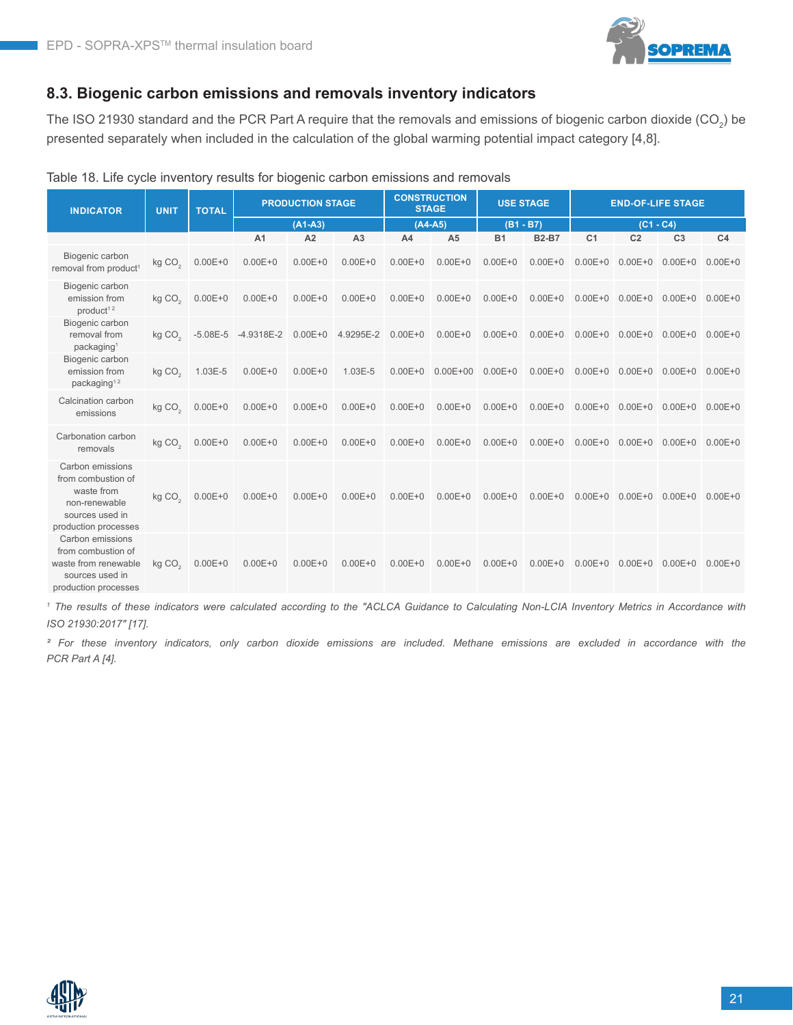

#### **8.3. Biogenic carbon emissions and removals inventory indicators**

The ISO 21930 standard and the PCR Part A require that the removals and emissions of biogenic carbon dioxide (CO<sub>2</sub>) be presented separately when included in the calculation of the global warming potential impact category [4,8].

| <b>INDICATOR</b>                                                                                                 | <b>UNIT</b>          | <b>TOTAL</b> |                | <b>PRODUCTION STAGE</b> |                |                | <b>CONSTRUCTION</b><br><b>STAGE</b> | <b>USE STAGE</b> |              |                | <b>END-OF-LIFE STAGE</b> |                                     |                |
|------------------------------------------------------------------------------------------------------------------|----------------------|--------------|----------------|-------------------------|----------------|----------------|-------------------------------------|------------------|--------------|----------------|--------------------------|-------------------------------------|----------------|
|                                                                                                                  |                      |              |                | $(A1-A3)$               |                |                | $(A4-A5)$                           | $(B1 - B7)$      |              | $(C1 - C4)$    |                          |                                     |                |
|                                                                                                                  |                      |              | A <sub>1</sub> | A2                      | A <sub>3</sub> | A <sub>4</sub> | A <sub>5</sub>                      | <b>B1</b>        | <b>B2-B7</b> | C <sub>1</sub> | C <sub>2</sub>           | C <sub>3</sub>                      | C <sub>4</sub> |
| Biogenic carbon<br>removal from product <sup>1</sup>                                                             | kg CO <sub>2</sub>   | $0.00E + 0$  | $0.00E + 0$    | $0.00E + 0$             | $0.00E + 0$    | $0.00E + 0$    | $0.00E + 0$                         | $0.00E + 0$      | $0.00E + 0$  | $0.00E + 0$    | $0.00E + 0$              | $0.00E + 0$                         | $0.00E + 0$    |
| Biogenic carbon<br>emission from<br>product <sup>12</sup>                                                        | kg CO <sub>2</sub>   | $0.00E + 0$  | $0.00E + 0$    | $0.00E + 0$             | $0.00E + 0$    | $0.00E + 0$    | $0.00E + 0$                         | $0.00E + 0$      | $0.00E + 0$  | $0.00E + 0$    |                          | $0.00E+0$ $0.00E+0$ $0.00E+0$       |                |
| Biogenic carbon<br>removal from<br>packaging <sup>1</sup>                                                        | $kq$ CO <sub>2</sub> | $-5.08E - 5$ | -4.9318E-2     | $0.00E + 0$             | 4.9295E-2      | $0.00E + 0$    | $0.00E + 0$                         | $0.00E + 0$      | $0.00E + 0$  | $0.00E + 0$    | $0.00E + 0$              | $0.00E + 0$ 0.00E+0                 |                |
| Biogenic carbon<br>emission from<br>packaging <sup>12</sup>                                                      | kg CO <sub>2</sub>   | 1.03E-5      | $0.00E + 0$    | $0.00E + 0$             | 1.03E-5        | $0.00E + 0$    | $0.00E+00$ $0.00E+0$                |                  | $0.00E + 0$  | $0.00E + 0$    |                          | $0.00E + 0$ $0.00E + 0$ $0.00E + 0$ |                |
| Calcination carbon<br>emissions                                                                                  | kg CO <sub>2</sub>   | $0.00E + 0$  | $0.00E + 0$    | $0.00E + 0$             | $0.00E + 0$    | $0.00E + 0$    | $0.00E + 0$                         | $0.00E + 0$      | $0.00E + 0$  | $0.00E + 0$    | $0.00E + 0$              | $0.00E + 0$ $0.00E + 0$             |                |
| Carbonation carbon<br>removals                                                                                   | kg CO <sub>2</sub>   | $0.00E + 0$  | $0.00E + 0$    | $0.00E + 0$             | $0.00E + 0$    | $0.00E + 0$    | $0.00E + 0$                         | $0.00E + 0$      | $0.00E + 0$  | $0.00E + 0$    | $0.00E + 0$              | $0.00E + 0$ $0.00E + 0$             |                |
| Carbon emissions<br>from combustion of<br>waste from<br>non-renewable<br>sources used in<br>production processes | kg CO <sub>2</sub>   | $0.00E + 0$  | $0.00E + 0$    | $0.00E + 0$             | $0.00E + 0$    | $0.00E + 0$    | $0.00E + 0$                         | $0.00E + 0$      | $0.00E + 0$  | $0.00E + 0$    | $0.00E + 0$              | $0.00E + 0$                         | $0.00E + 0$    |
| Carbon emissions<br>from combustion of<br>waste from renewable<br>sources used in<br>production processes        | kg CO <sub>2</sub>   | $0.00E + 0$  | $0.00E + 0$    | $0.00E + 0$             | $0.00E + 0$    | $0.00E + 0$    | $0.00E + 0$                         | $0.00E + 0$      | $0.00E + 0$  | $0.00E + 0$    | $0.00E + 0$              | $0.00E + 0$ $0.00E + 0$             |                |

#### Table 18. Life cycle inventory results for biogenic carbon emissions and removals

*<sup>1</sup> The results of these indicators were calculated according to the "ACLCA Guidance to Calculating Non-LCIA Inventory Metrics in Accordance with ISO 21930:2017" [17].*

*² For these inventory indicators, only carbon dioxide emissions are included. Methane emissions are excluded in accordance with the PCR Part A [4].*

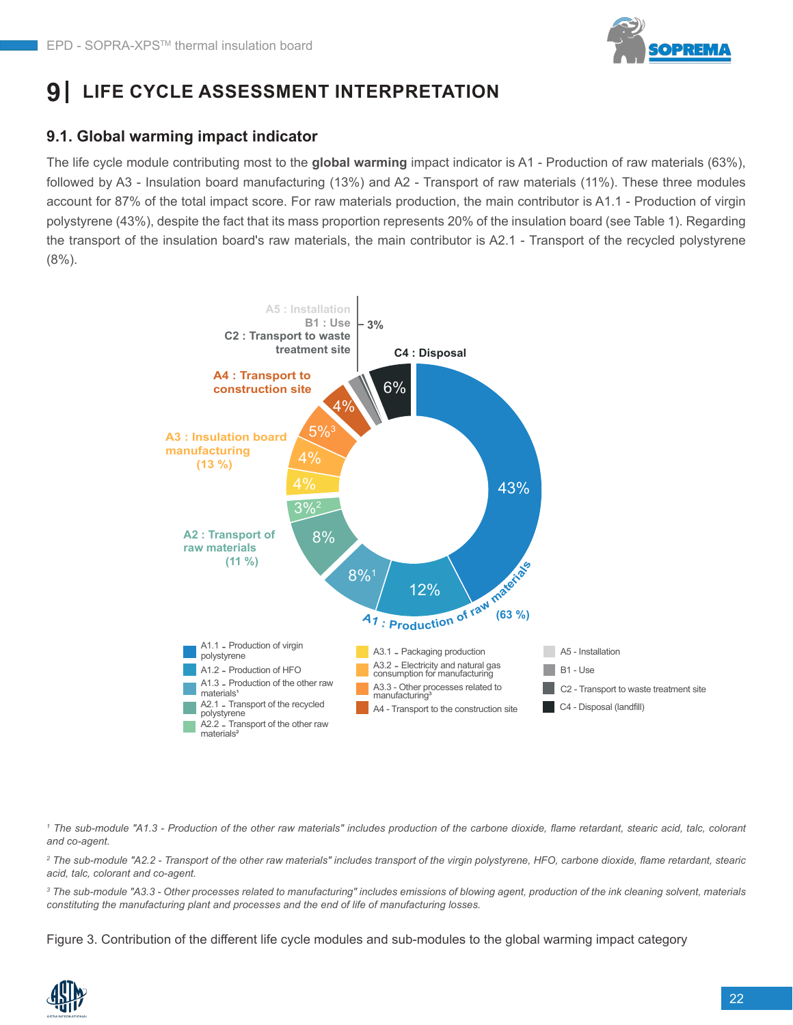

# **9 LIFE CYCLE ASSESSMENT INTERPRETATION**

#### **9.1. Global warming impact indicator**

The life cycle module contributing most to the **global warming** impact indicator is A1 - Production of raw materials (63%), followed by A3 - Insulation board manufacturing (13%) and A2 - Transport of raw materials (11%). These three modules account for 87% of the total impact score. For raw materials production, the main contributor is A1.1 - Production of virgin polystyrene (43%), despite the fact that its mass proportion represents 20% of the insulation board (see Table 1). Regarding the transport of the insulation board's raw materials, the main contributor is A2.1 - Transport of the recycled polystyrene (8%).



<sup>1</sup> The sub-module "A1.3 - Production of the other raw materials" includes production of the carbone dioxide, flame retardant, stearic acid, talc, colorant *and co-agent.*

*2 The sub-module "A2.2 - Transport of the other raw materials" includes transport of the virgin polystyrene, HFO, carbone dioxide, flame retardant, stearic acid, talc, colorant and co-agent.*

<sup>3</sup> The sub-module "A3.3 - Other processes related to manufacturing" includes emissions of blowing agent, production of the ink cleaning solvent, materials *constituting the manufacturing plant and processes and the end of life of manufacturing losses.*

Figure 3. Contribution of the different life cycle modules and sub-modules to the global warming impact category

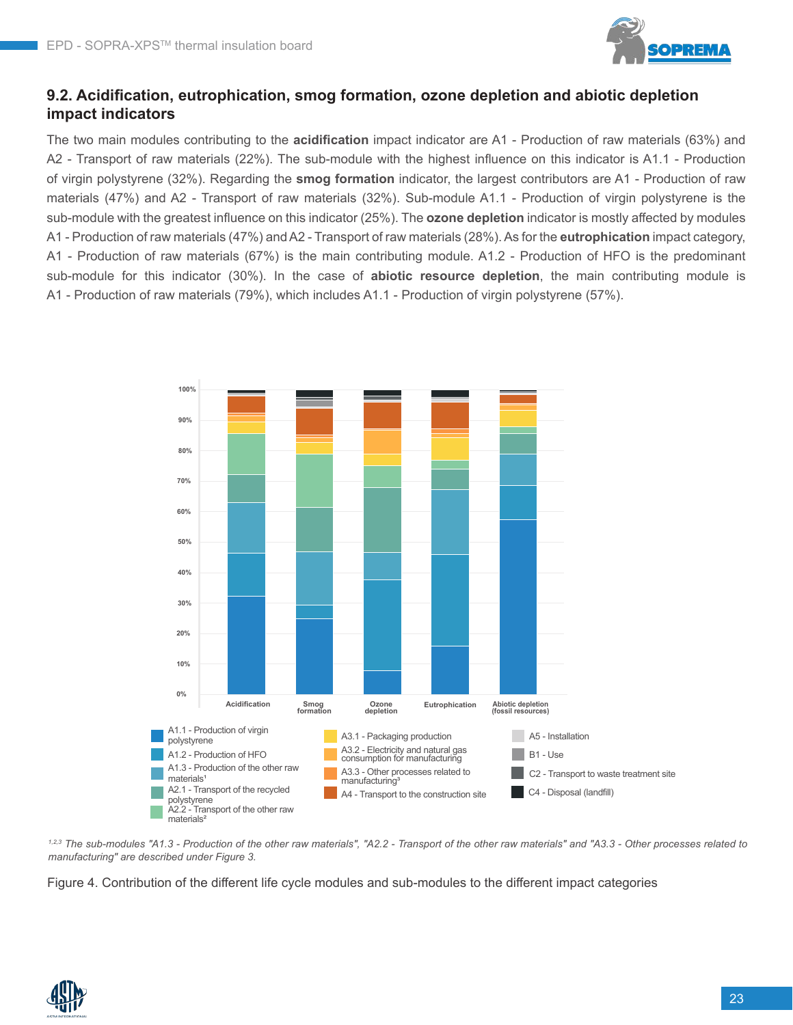

#### **9.2. Acidification, eutrophication, smog formation, ozone depletion and abiotic depletion impact indicators**

The two main modules contributing to the **acidification** impact indicator are A1 - Production of raw materials (63%) and A2 - Transport of raw materials (22%). The sub-module with the highest influence on this indicator is A1.1 - Production of virgin polystyrene (32%). Regarding the **smog formation** indicator, the largest contributors are A1 - Production of raw materials (47%) and A2 - Transport of raw materials (32%). Sub-module A1.1 - Production of virgin polystyrene is the sub-module with the greatest influence on this indicator (25%). The **ozone depletion** indicator is mostly affected by modules A1 - Production of raw materials (47%) and A2 - Transport of raw materials (28%). As for the **eutrophication** impact category, A1 - Production of raw materials (67%) is the main contributing module. A1.2 - Production of HFO is the predominant sub-module for this indicator (30%). In the case of **abiotic resource depletion**, the main contributing module is A1 - Production of raw materials (79%), which includes A1.1 - Production of virgin polystyrene (57%). e



*1,2,3 The sub-modules "A1.3 - Production of the other raw materials", "A2.2 - Transport of the other raw materials" and "A3.3 - Other processes related to manufacturing" are described under Figure 3.*

Figure 4. Contribution of the different life cycle modules and sub-modules to the different impact categories

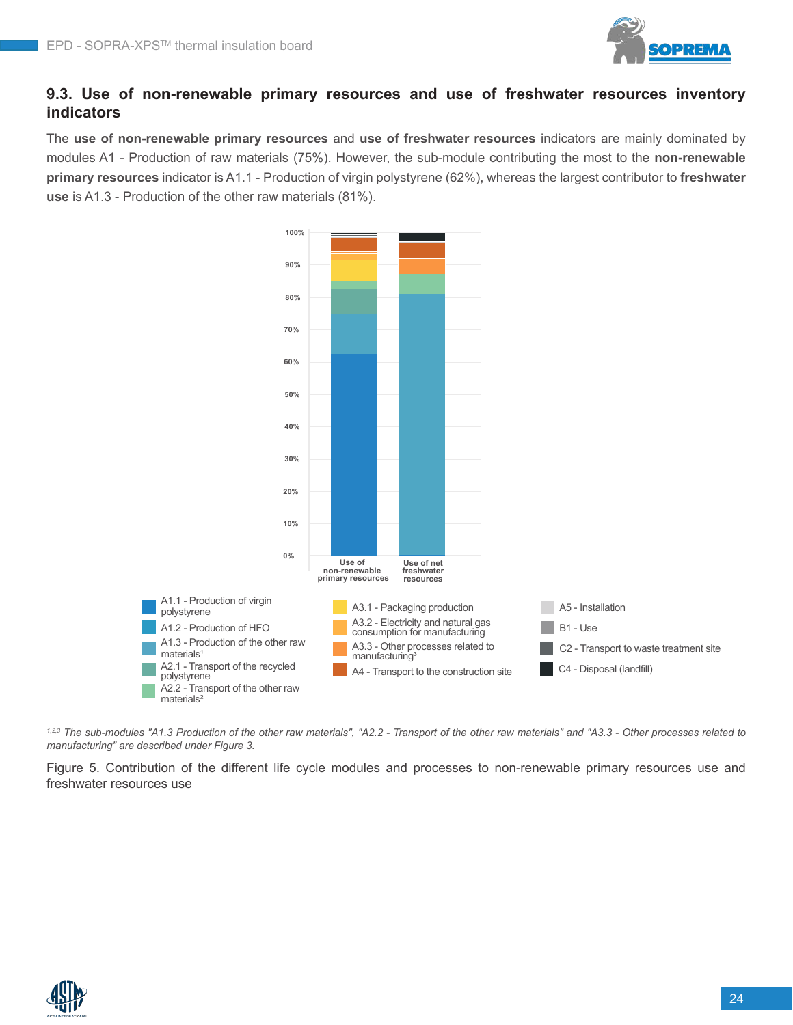

#### **9.3. Use of non-renewable primary resources and use of freshwater resources inventory indicators**

The **use of non-renewable primary resources** and **use of freshwater resources** indicators are mainly dominated by modules A1 - Production of raw materials (75%). However, the sub-module contributing the most to the **non-renewable primary resources** indicator is A1.1 - Production of virgin polystyrene (62%), whereas the largest contributor to **freshwater use** is A1.3 - Production of the other raw materials (81%).



*1,2,3 The sub-modules "A1.3 Production of the other raw materials", "A2.2 - Transport of the other raw materials" and "A3.3 - Other processes related to manufacturing" are described under Figure 3.*

Figure 5. Contribution of the different life cycle modules and processes to non-renewable primary resources use and freshwater resources use

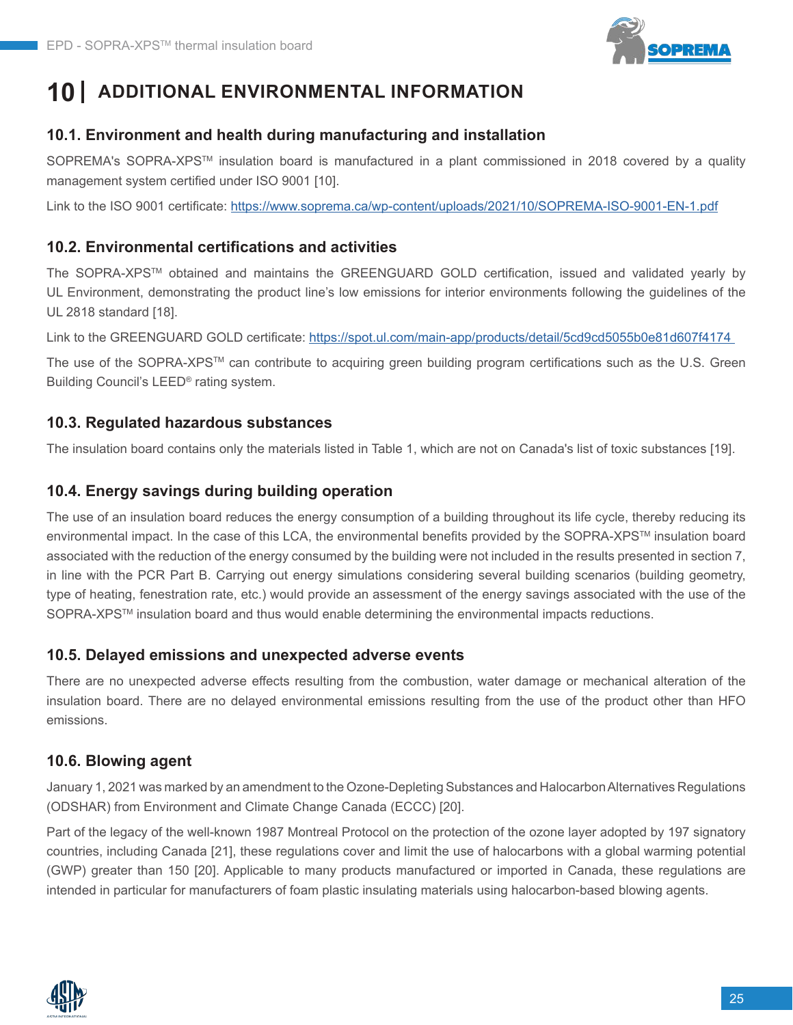

# **10 ADDITIONAL ENVIRONMENTAL INFORMATION**

#### **10.1. Environment and health during manufacturing and installation**

SOPREMA's SOPRA-XPS<sup>™</sup> insulation board is manufactured in a plant commissioned in 2018 covered by a quality management system certified under ISO 9001 [10].

Link to the ISO 9001 certificate:<https://www.soprema.ca/wp-content/uploads/2021/10/SOPREMA-ISO-9001-EN-1.pdf>

#### **10.2. Environmental certifications and activities**

The SOPRA-XPSTM obtained and maintains the GREENGUARD GOLD certification, issued and validated yearly by UL Environment, demonstrating the product line's low emissions for interior environments following the guidelines of the UL 2818 standard [18].

Link to the GREENGUARD GOLD certificate: <https://spot.ul.com/main-app/products/detail/5cd9cd5055b0e81d607f4174>

The use of the SOPRA-XPS™ can contribute to acquiring green building program certifications such as the U.S. Green Building Council's LEED® rating system.

#### **10.3. Regulated hazardous substances**

The insulation board contains only the materials listed in Table 1, which are not on Canada's list of toxic substances [19].

#### **10.4. Energy savings during building operation**

The use of an insulation board reduces the energy consumption of a building throughout its life cycle, thereby reducing its environmental impact. In the case of this LCA, the environmental benefits provided by the SOPRA-XPSTM insulation board associated with the reduction of the energy consumed by the building were not included in the results presented in section 7, in line with the PCR Part B. Carrying out energy simulations considering several building scenarios (building geometry, type of heating, fenestration rate, etc.) would provide an assessment of the energy savings associated with the use of the SOPRA-XPS<sup>™</sup> insulation board and thus would enable determining the environmental impacts reductions.

#### **10.5. Delayed emissions and unexpected adverse events**

There are no unexpected adverse effects resulting from the combustion, water damage or mechanical alteration of the insulation board. There are no delayed environmental emissions resulting from the use of the product other than HFO emissions.

#### **10.6. Blowing agent**

January 1, 2021 was marked by an amendment to the Ozone-Depleting Substances and Halocarbon Alternatives Regulations (ODSHAR) from Environment and Climate Change Canada (ECCC) [20].

Part of the legacy of the well-known 1987 Montreal Protocol on the protection of the ozone layer adopted by 197 signatory countries, including Canada [21], these regulations cover and limit the use of halocarbons with a global warming potential (GWP) greater than 150 [20]. Applicable to many products manufactured or imported in Canada, these regulations are intended in particular for manufacturers of foam plastic insulating materials using halocarbon-based blowing agents.

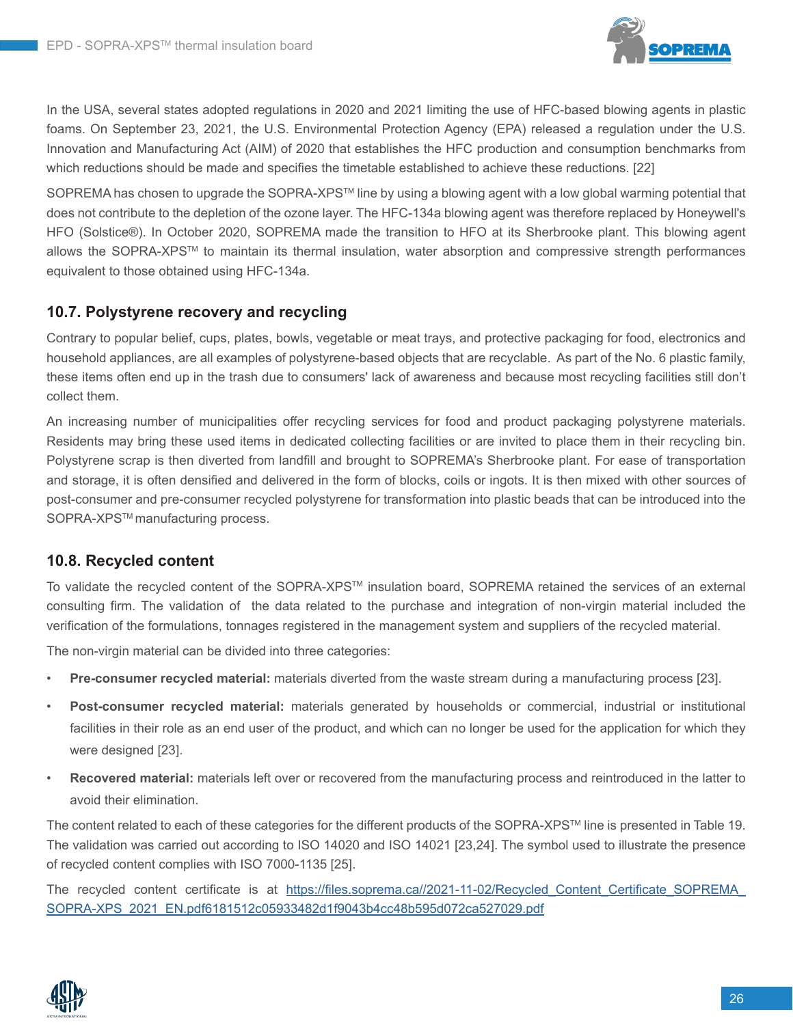

In the USA, several states adopted regulations in 2020 and 2021 limiting the use of HFC-based blowing agents in plastic foams. On September 23, 2021, the U.S. Environmental Protection Agency (EPA) released a regulation under the U.S. Innovation and Manufacturing Act (AIM) of 2020 that establishes the HFC production and consumption benchmarks from which reductions should be made and specifies the timetable established to achieve these reductions. [22]

SOPREMA has chosen to upgrade the SOPRA-XPS™ line by using a blowing agent with a low global warming potential that does not contribute to the depletion of the ozone layer. The HFC-134a blowing agent was therefore replaced by Honeywell's HFO (Solstice®). In October 2020, SOPREMA made the transition to HFO at its Sherbrooke plant. This blowing agent allows the SOPRA-XPSTM to maintain its thermal insulation, water absorption and compressive strength performances equivalent to those obtained using HFC-134a.

#### **10.7. Polystyrene recovery and recycling**

Contrary to popular belief, cups, plates, bowls, vegetable or meat trays, and protective packaging for food, electronics and household appliances, are all examples of polystyrene-based objects that are recyclable. As part of the No. 6 plastic family, these items often end up in the trash due to consumers' lack of awareness and because most recycling facilities still don't collect them.

An increasing number of municipalities offer recycling services for food and product packaging polystyrene materials. Residents may bring these used items in dedicated collecting facilities or are invited to place them in their recycling bin. Polystyrene scrap is then diverted from landfill and brought to SOPREMA's Sherbrooke plant. For ease of transportation and storage, it is often densified and delivered in the form of blocks, coils or ingots. It is then mixed with other sources of post-consumer and pre-consumer recycled polystyrene for transformation into plastic beads that can be introduced into the SOPRA-XPS<sup>™</sup> manufacturing process.

#### **10.8. Recycled content**

To validate the recycled content of the SOPRA-XPSTM insulation board, SOPREMA retained the services of an external consulting firm. The validation of the data related to the purchase and integration of non-virgin material included the verification of the formulations, tonnages registered in the management system and suppliers of the recycled material.

The non-virgin material can be divided into three categories:

- **Pre-consumer recycled material:** materials diverted from the waste stream during a manufacturing process [23].
- **Post-consumer recycled material:** materials generated by households or commercial, industrial or institutional facilities in their role as an end user of the product, and which can no longer be used for the application for which they were designed [23].
- **Recovered material:** materials left over or recovered from the manufacturing process and reintroduced in the latter to avoid their elimination.

The content related to each of these categories for the different products of the SOPRA-XPSTM line is presented in Table 19. The validation was carried out according to ISO 14020 and ISO 14021 [23,24]. The symbol used to illustrate the presence of recycled content complies with ISO 7000-1135 [25].

The recycled content certificate is at https://files.soprema.ca//2021-11-02/Recycled Content Certificate SOPREMA [SOPRA-XPS\\_2021\\_EN.pdf6181512c05933482d1f9043b4cc48b595d072ca527029.pdf](https://files.soprema.ca//2021-11-02/Recycled_Content_Certificate_SOPREMA_SOPRA-XPS_2021_EN.pdf6181512c05933482d1f9043b4cc48b595d072ca527029.pdf)

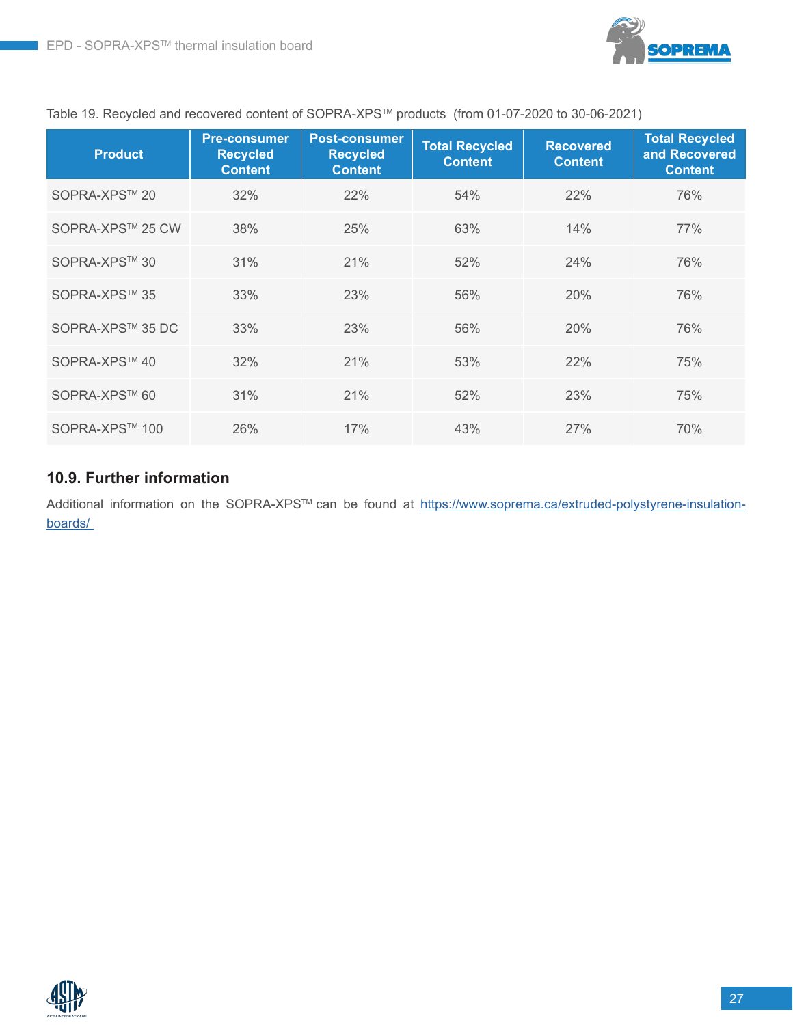

#### Table 19. Recycled and recovered content of SOPRA-XPSTM products (from 01-07-2020 to 30-06-2021)

| <b>Product</b>   | <b>Pre-consumer</b><br><b>Recycled</b><br><b>Content</b> | <b>Post-consumer</b><br><b>Recycled</b><br><b>Content</b> | <b>Total Recycled</b><br><b>Content</b> | <b>Recovered</b><br><b>Content</b> | <b>Total Recycled</b><br>and Recovered<br><b>Content</b> |
|------------------|----------------------------------------------------------|-----------------------------------------------------------|-----------------------------------------|------------------------------------|----------------------------------------------------------|
| SOPRA-XPS™ 20    | 32%                                                      | 22%                                                       | 54%                                     | 22%                                | 76%                                                      |
| SOPRA-XPS™ 25 CW | 38%                                                      | 25%                                                       | 63%                                     | 14%                                | 77%                                                      |
| SOPRA-XPS™ 30    | 31%                                                      | 21%                                                       | 52%                                     | 24%                                | 76%                                                      |
| SOPRA-XPS™ 35    | 33%                                                      | 23%                                                       | 56%                                     | 20%                                | 76%                                                      |
| SOPRA-XPS™ 35 DC | 33%                                                      | 23%                                                       | 56%                                     | 20%                                | 76%                                                      |
| SOPRA-XPS™40     | 32%                                                      | 21%                                                       | 53%                                     | 22%                                | 75%                                                      |
| SOPRA-XPS™ 60    | 31%                                                      | 21%                                                       | 52%                                     | 23%                                | 75%                                                      |
| SOPRA-XPS™ 100   | 26%                                                      | 17%                                                       | 43%                                     | 27%                                | 70%                                                      |

#### **10.9. Further information**

Additional information on the SOPRA-XPS™ can be found at [https://www.soprema.ca/extruded-polystyrene-insulation](https://www.soprema.ca/extruded-polystyrene-insulation-boards/ )[boards/](https://www.soprema.ca/extruded-polystyrene-insulation-boards/ ) 

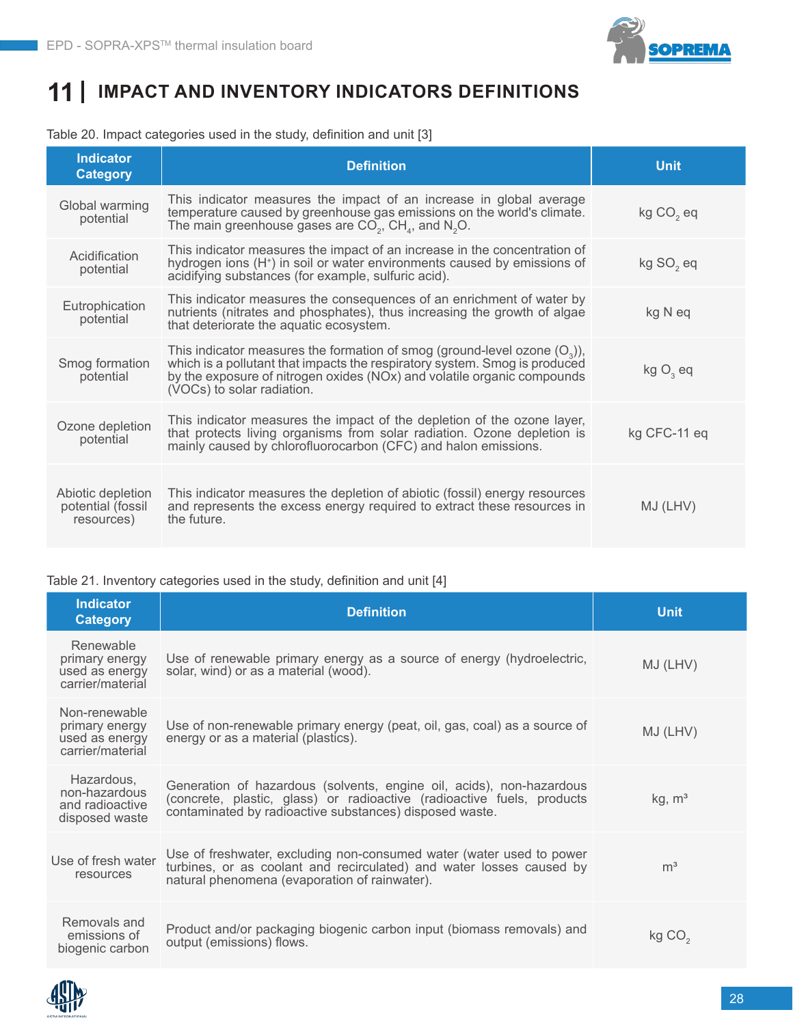

## **11 IMPACT AND INVENTORY INDICATORS DEFINITIONS**

#### Table 20. Impact categories used in the study, definition and unit [3]

| Indicator<br><b>Category</b>                         | <b>Definition</b>                                                                                                                                                                                                                                                                | <b>Unit</b>           |
|------------------------------------------------------|----------------------------------------------------------------------------------------------------------------------------------------------------------------------------------------------------------------------------------------------------------------------------------|-----------------------|
| Global warming<br>potential                          | This indicator measures the impact of an increase in global average<br>temperature caused by greenhouse gas emissions on the world's climate.<br>The main greenhouse gases are $CO_2$ , CH <sub>a</sub> , and N <sub>2</sub> O.                                                  | kg CO <sub>2</sub> eq |
| Acidification<br>potential                           | This indicator measures the impact of an increase in the concentration of<br>hydrogen ions (H <sup>+</sup> ) in soil or water environments caused by emissions of<br>acidifying substances (for example, sulfuric acid).                                                         | kg SO <sub>2</sub> eq |
| Eutrophication<br>potential                          | This indicator measures the consequences of an enrichment of water by<br>nutrients (nitrates and phosphates), thus increasing the growth of algae<br>that deteriorate the aquatic ecosystem.                                                                                     | kg N eq               |
| Smog formation<br>potential                          | This indicator measures the formation of smog (ground-level ozone $(O_3)$ ),<br>which is a pollutant that impacts the respiratory system. Smog is produced<br>by the exposure of nitrogen oxides (NO <sub>x</sub> ) and volatile organic compounds<br>(VOCs) to solar radiation. | $kgO3$ eq             |
| Ozone depletion<br>potential                         | This indicator measures the impact of the depletion of the ozone layer,<br>that protects living organisms from solar radiation. Ozone depletion is<br>mainly caused by chlorofluorocarbon (CFC) and halon emissions.                                                             | kg CFC-11 eq          |
| Abiotic depletion<br>potential (fossil<br>resources) | This indicator measures the depletion of abiotic (fossil) energy resources<br>and represents the excess energy required to extract these resources in<br>the future.                                                                                                             | MJ (LHV)              |

#### Table 21. Inventory categories used in the study, definition and unit [4]

| <b>Indicator</b><br><b>Category</b>                                   | <b>Definition</b>                                                                                                                                                                                         | <b>Unit</b>        |
|-----------------------------------------------------------------------|-----------------------------------------------------------------------------------------------------------------------------------------------------------------------------------------------------------|--------------------|
| Renewable<br>primary energy<br>used as energy<br>carrier/material     | Use of renewable primary energy as a source of energy (hydroelectric,<br>solar, wind) or as a material (wood).                                                                                            | MJ (LHV)           |
| Non-renewable<br>primary energy<br>used as energy<br>carrier/material | Use of non-renewable primary energy (peat, oil, gas, coal) as a source of<br>energy or as a material (plastics).                                                                                          | MJ (LHV)           |
| Hazardous,<br>non-hazardous<br>and radioactive<br>disposed waste      | Generation of hazardous (solvents, engine oil, acids), non-hazardous<br>(concrete, plastic, glass) or radioactive (radioactive fuels, products<br>contaminated by radioactive substances) disposed waste. | kg, m <sup>3</sup> |
| Use of fresh water<br>resources                                       | Use of freshwater, excluding non-consumed water (water used to power<br>turbines, or as coolant and recirculated) and water losses caused by<br>natural phenomena (evaporation of rainwater).             | m <sup>3</sup>     |
| Removals and<br>emissions of<br>biogenic carbon                       | Product and/or packaging biogenic carbon input (biomass removals) and<br>output (emissions) flows.                                                                                                        | kg CO <sub>2</sub> |

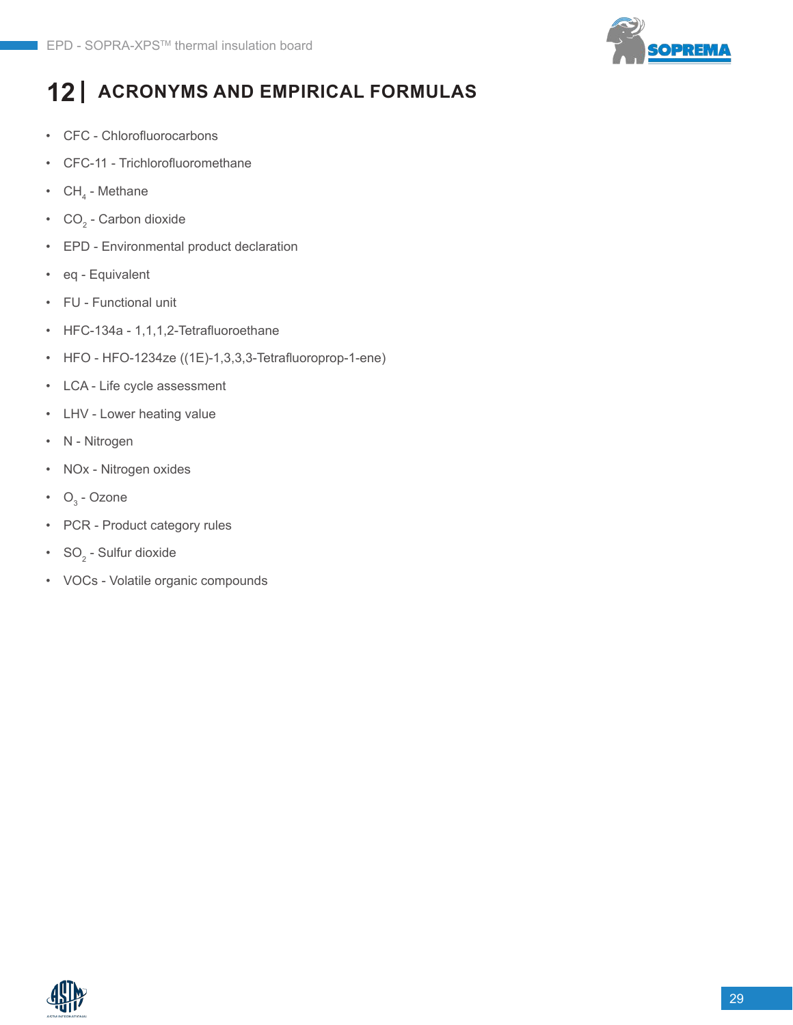

# **12 ACRONYMS AND EMPIRICAL FORMULAS**

- CFC Chlorofluorocarbons
- CFC-11 Trichlorofluoromethane
- $\,$  CH $_{\textrm{\tiny{4}}}$  Methane
- $\text{CO}_2$  Carbon dioxide
- EPD Environmental product declaration
- eq Equivalent
- FU Functional unit
- HFC-134a 1,1,1,2-Tetrafluoroethane
- HFO HFO-1234ze ((1E)-1,3,3,3-Tetrafluoroprop-1-ene)
- LCA Life cycle assessment
- LHV Lower heating value
- N Nitrogen
- NOx Nitrogen oxides
- $O_3$  Ozone
- PCR Product category rules
- $SO_2$  Sulfur dioxide
- VOCs Volatile organic compounds

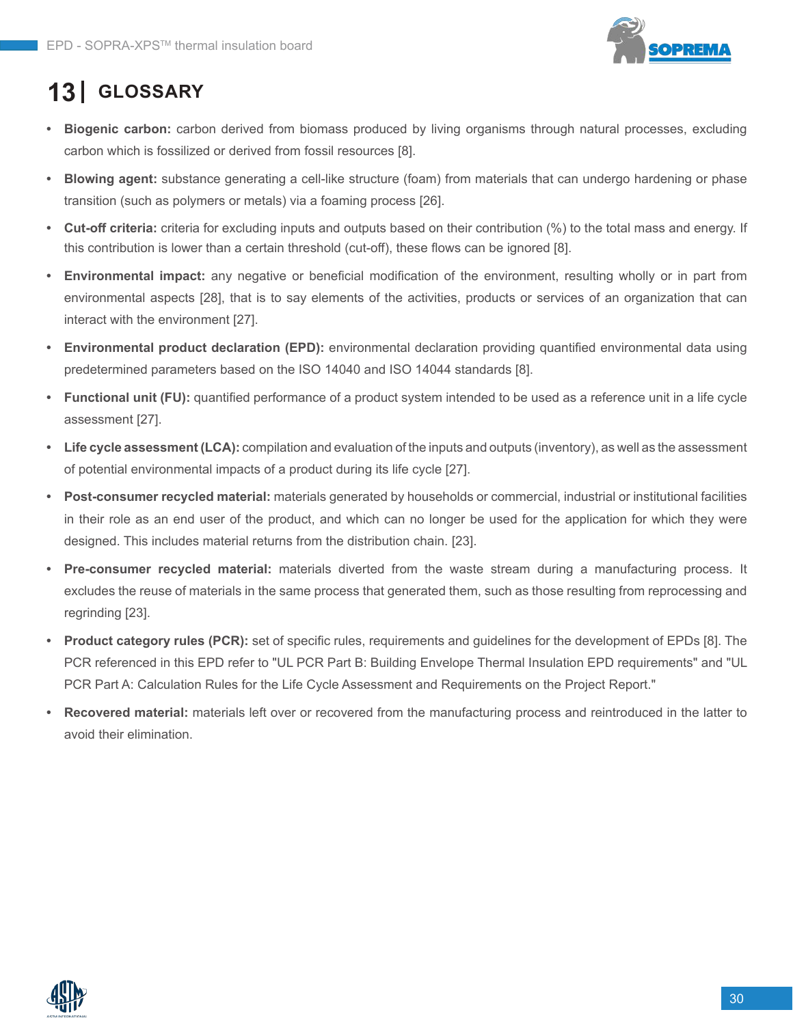

# **13 GLOSSARY**

- **• Biogenic carbon:** carbon derived from biomass produced by living organisms through natural processes, excluding carbon which is fossilized or derived from fossil resources [8].
- **• Blowing agent:** substance generating a cell-like structure (foam) from materials that can undergo hardening or phase transition (such as polymers or metals) via a foaming process [26].
- **• Cut-off criteria:** criteria for excluding inputs and outputs based on their contribution (%) to the total mass and energy. If this contribution is lower than a certain threshold (cut-off), these flows can be ignored [8].
- **• Environmental impact:** any negative or beneficial modification of the environment, resulting wholly or in part from environmental aspects [28], that is to say elements of the activities, products or services of an organization that can interact with the environment [27].
- **• Environmental product declaration (EPD):** environmental declaration providing quantified environmental data using predetermined parameters based on the ISO 14040 and ISO 14044 standards [8].
- **• Functional unit (FU):** quantified performance of a product system intended to be used as a reference unit in a life cycle assessment [27].
- **• Life cycle assessment (LCA):** compilation and evaluation of the inputs and outputs (inventory), as well as the assessment of potential environmental impacts of a product during its life cycle [27].
- **• Post-consumer recycled material:** materials generated by households or commercial, industrial or institutional facilities in their role as an end user of the product, and which can no longer be used for the application for which they were designed. This includes material returns from the distribution chain. [23].
- **• Pre-consumer recycled material:** materials diverted from the waste stream during a manufacturing process. It excludes the reuse of materials in the same process that generated them, such as those resulting from reprocessing and regrinding [23].
- **• Product category rules (PCR):** set of specific rules, requirements and guidelines for the development of EPDs [8]. The PCR referenced in this EPD refer to "UL PCR Part B: Building Envelope Thermal Insulation EPD requirements" and "UL PCR Part A: Calculation Rules for the Life Cycle Assessment and Requirements on the Project Report."
- **• Recovered material:** materials left over or recovered from the manufacturing process and reintroduced in the latter to avoid their elimination.

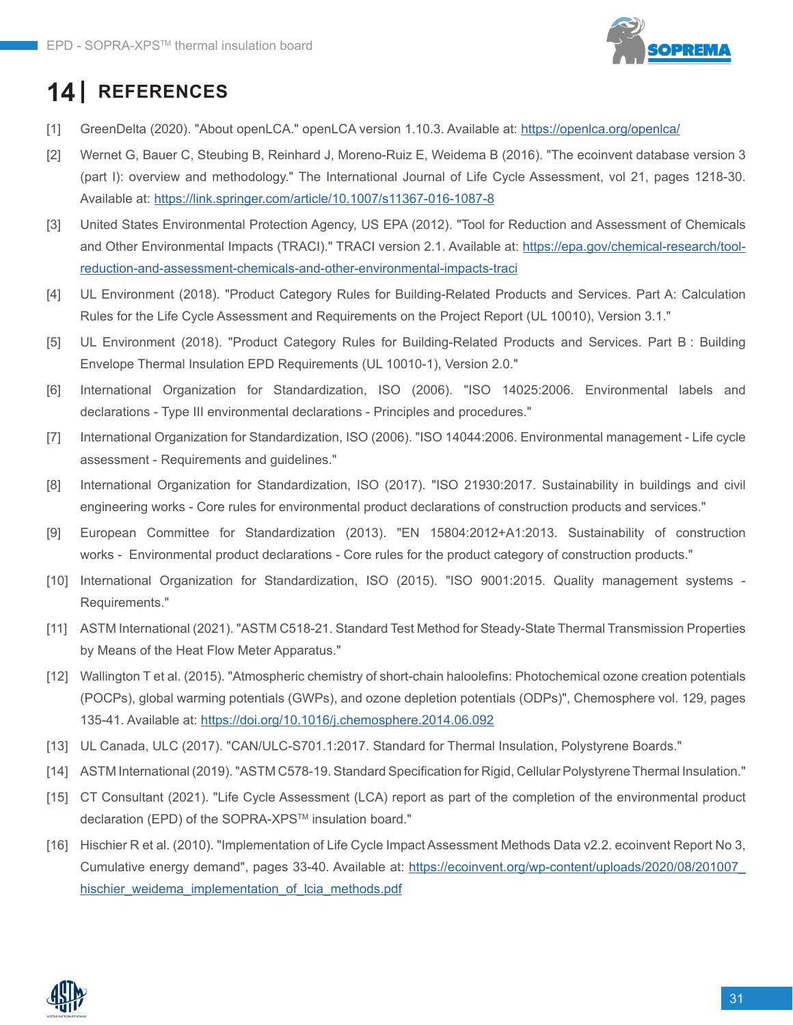

# **14 REFERENCES**

- [1] GreenDelta (2020). "About openLCA." openLCA version 1.10.3. Available at: <https://openlca.org/openlca/>
- [2] Wernet G, Bauer C, Steubing B, Reinhard J, Moreno-Ruiz E, Weidema B (2016). "The ecoinvent database version 3 (part I): overview and methodology." The International Journal of Life Cycle Assessment, vol 21, pages 1218-30. Available at:<https://link.springer.com/article/10.1007/s11367-016-1087-8>
- [3] United States Environmental Protection Agency, US EPA (2012). "Tool for Reduction and Assessment of Chemicals and Other Environmental Impacts (TRACI)." TRACI version 2.1. Available at: [https://epa.gov/chemical-research/tool](https://epa.gov/chemical-research/tool-reduction-and-assessment-chemicals-and-other-environmental-impacts-traci)[reduction-and-assessment-chemicals-and-other-environmental-impacts-traci](https://epa.gov/chemical-research/tool-reduction-and-assessment-chemicals-and-other-environmental-impacts-traci)
- [4] UL Environment (2018). "Product Category Rules for Building-Related Products and Services. Part A: Calculation Rules for the Life Cycle Assessment and Requirements on the Project Report (UL 10010), Version 3.1."
- [5] UL Environment (2018). "Product Category Rules for Building-Related Products and Services. Part B : Building Envelope Thermal Insulation EPD Requirements (UL 10010-1), Version 2.0."
- [6] International Organization for Standardization, ISO (2006). "ISO 14025:2006. Environmental labels and declarations - Type III environmental declarations - Principles and procedures."
- [7] International Organization for Standardization, ISO (2006). "ISO 14044:2006. Environmental management Life cycle assessment - Requirements and guidelines."
- [8] International Organization for Standardization, ISO (2017). "ISO 21930:2017. Sustainability in buildings and civil engineering works - Core rules for environmental product declarations of construction products and services."
- [9] European Committee for Standardization (2013). "EN 15804:2012+A1:2013. Sustainability of construction works - Environmental product declarations - Core rules for the product category of construction products."
- [10] International Organization for Standardization, ISO (2015). "ISO 9001:2015. Quality management systems Requirements."
- [11] ASTM International (2021). "ASTM C518-21. Standard Test Method for Steady-State Thermal Transmission Properties by Means of the Heat Flow Meter Apparatus."
- [12] Wallington T et al. (2015). "Atmospheric chemistry of short-chain haloolefins: Photochemical ozone creation potentials (POCPs), global warming potentials (GWPs), and ozone depletion potentials (ODPs)", Chemosphere vol. 129, pages 135-41. Available at:<https://doi.org/10.1016/j.chemosphere.2014.06.092>
- [13] UL Canada, ULC (2017). "CAN/ULC-S701.1:2017. Standard for Thermal Insulation, Polystyrene Boards."
- [14] ASTM International (2019). "ASTM C578-19. Standard Specification for Rigid, Cellular Polystyrene Thermal Insulation."
- [15] CT Consultant (2021). "Life Cycle Assessment (LCA) report as part of the completion of the environmental product declaration (EPD) of the SOPRA-XPS™ insulation board."
- [16] Hischier R et al. (2010). "Implementation of Life Cycle Impact Assessment Methods Data v2.2. ecoinvent Report No 3, Cumulative energy demand", pages 33-40. Available at: [https://ecoinvent.org/wp-content/uploads/2020/08/201007\\_](https://ecoinvent.org/wp-content/uploads/2020/08/201007_hischier_weidema_implementation_of_lcia_methods.pdf) [hischier\\_weidema\\_implementation\\_of\\_lcia\\_methods.pdf](https://ecoinvent.org/wp-content/uploads/2020/08/201007_hischier_weidema_implementation_of_lcia_methods.pdf)

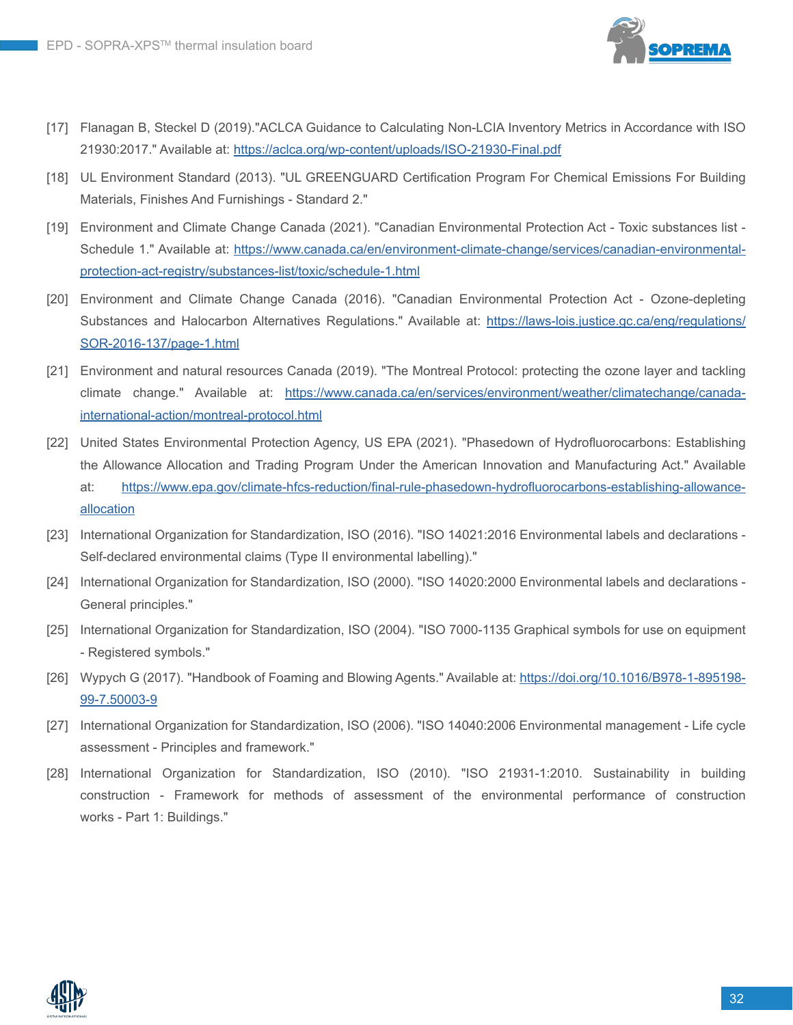

- [17] Flanagan B, Steckel D (2019)."ACLCA Guidance to Calculating Non-LCIA Inventory Metrics in Accordance with ISO 21930:2017." Available at:<https://aclca.org/wp-content/uploads/ISO-21930-Final.pdf>
- [18] UL Environment Standard (2013). "UL GREENGUARD Certification Program For Chemical Emissions For Building Materials, Finishes And Furnishings - Standard 2."
- [19] Environment and Climate Change Canada (2021). "Canadian Environmental Protection Act Toxic substances list Schedule 1." Available at: [https://www.canada.ca/en/environment-climate-change/services/canadian-environmental](https://www.canada.ca/en/environment-climate-change/services/canadian-environmental-protection-act-registry/substances-list/toxic/schedule-1.html)[protection-act-registry/substances-list/toxic/schedule-1.html](https://www.canada.ca/en/environment-climate-change/services/canadian-environmental-protection-act-registry/substances-list/toxic/schedule-1.html)
- [20] Environment and Climate Change Canada (2016). "Canadian Environmental Protection Act Ozone-depleting Substances and Halocarbon Alternatives Regulations." Available at: [https://laws-lois.justice.gc.ca/eng/regulations/](https://laws-lois.justice.gc.ca/eng/regulations/SOR-2016-137/page-1.html) [SOR-2016-137/page-1.html](https://laws-lois.justice.gc.ca/eng/regulations/SOR-2016-137/page-1.html)
- [21] Environment and natural resources Canada (2019). "The Montreal Protocol: protecting the ozone layer and tackling climate change." Available at: [https://www.canada.ca/en/services/environment/weather/climatechange/canada](https://www.canada.ca/en/services/environment/weather/climatechange/canada-international-action/montreal-protocol.html)[international-action/montreal-protocol.html](https://www.canada.ca/en/services/environment/weather/climatechange/canada-international-action/montreal-protocol.html)
- [22] United States Environmental Protection Agency, US EPA (2021). "Phasedown of Hydrofluorocarbons: Establishing the Allowance Allocation and Trading Program Under the American Innovation and Manufacturing Act." Available at: [https://www.epa.gov/climate-hfcs-reduction/final-rule-phasedown-hydrofluorocarbons-establishing-allowance](https://www.epa.gov/climate-hfcs-reduction/final-rule-phasedown-hydrofluorocarbons-establishing-allowance-allocation)[allocation](https://www.epa.gov/climate-hfcs-reduction/final-rule-phasedown-hydrofluorocarbons-establishing-allowance-allocation)
- [23] International Organization for Standardization, ISO (2016). "ISO 14021:2016 Environmental labels and declarations Self-declared environmental claims (Type II environmental labelling)."
- [24] International Organization for Standardization, ISO (2000). "ISO 14020:2000 Environmental labels and declarations General principles."
- [25] International Organization for Standardization, ISO (2004). "ISO 7000-1135 Graphical symbols for use on equipment - Registered symbols."
- [26] Wypych G (2017). "Handbook of Foaming and Blowing Agents." Available at: [https://doi.org/10.1016/B978-1-895198-](https://doi.org/10.1016/B978-1-895198-99-7.50003-9) [99-7.50003-9](https://doi.org/10.1016/B978-1-895198-99-7.50003-9)
- [27] International Organization for Standardization, ISO (2006). "ISO 14040:2006 Environmental management Life cycle assessment - Principles and framework."
- [28] International Organization for Standardization, ISO (2010). "ISO 21931-1:2010. Sustainability in building construction - Framework for methods of assessment of the environmental performance of construction works - Part 1: Buildings."